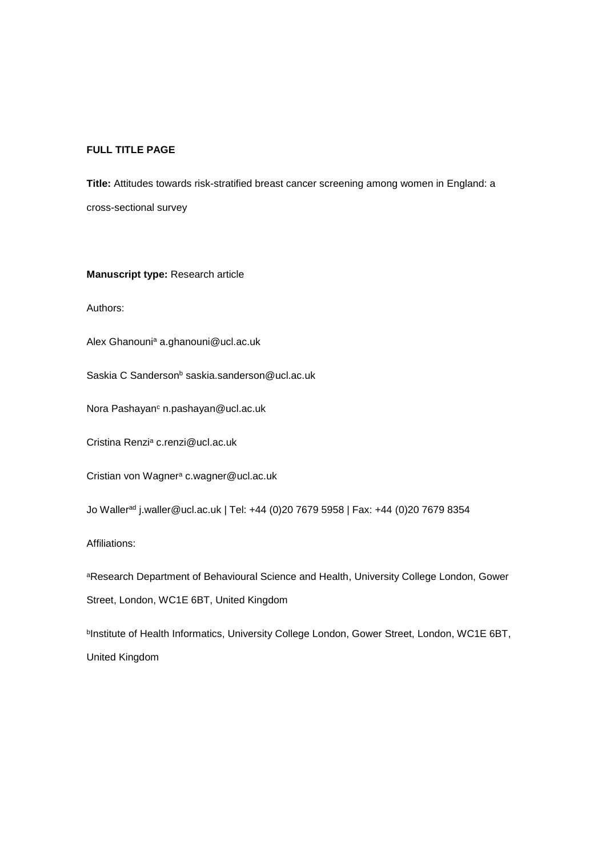## **FULL TITLE PAGE**

**Title:** Attitudes towards risk-stratified breast cancer screening among women in England: a cross-sectional survey

## **Manuscript type:** Research article

Authors:

Alex Ghanouni<sup>a</sup> a.ghanouni@ucl.ac.uk

Saskia C Sanderson<sup>b</sup> saskia.sanderson@ucl.ac.uk

Nora Pashayan<sup>c</sup> n.pashayan@ucl.ac.uk

Cristina Renzi<sup>a</sup> c.renzi@ucl.ac.uk

Cristian von Wagner<sup>a</sup> c.wagner@ucl.ac.uk

Jo Waller<sup>ad</sup> j.waller@ucl.ac.uk | Tel: +44 (0)20 7679 5958 | Fax: +44 (0)20 7679 8354

Affiliations:

aResearch Department of Behavioural Science and Health, University College London, Gower Street, London, WC1E 6BT, United Kingdom

<sup>b</sup>Institute of Health Informatics, University College London, Gower Street, London, WC1E 6BT, United Kingdom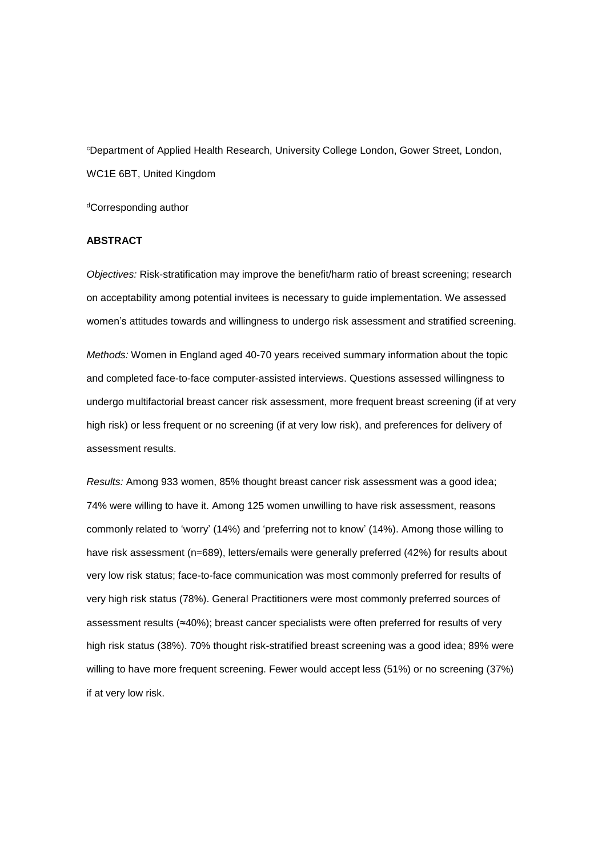<sup>c</sup>Department of Applied Health Research, University College London, Gower Street, London, WC1E 6BT, United Kingdom

<sup>d</sup>Corresponding author

## **ABSTRACT**

*Objectives:* Risk-stratification may improve the benefit/harm ratio of breast screening; research on acceptability among potential invitees is necessary to guide implementation. We assessed women's attitudes towards and willingness to undergo risk assessment and stratified screening.

*Methods:* Women in England aged 40-70 years received summary information about the topic and completed face-to-face computer-assisted interviews. Questions assessed willingness to undergo multifactorial breast cancer risk assessment, more frequent breast screening (if at very high risk) or less frequent or no screening (if at very low risk), and preferences for delivery of assessment results.

*Results:* Among 933 women, 85% thought breast cancer risk assessment was a good idea; 74% were willing to have it. Among 125 women unwilling to have risk assessment, reasons commonly related to 'worry' (14%) and 'preferring not to know' (14%). Among those willing to have risk assessment (n=689), letters/emails were generally preferred (42%) for results about very low risk status; face-to-face communication was most commonly preferred for results of very high risk status (78%). General Practitioners were most commonly preferred sources of assessment results (≈40%); breast cancer specialists were often preferred for results of very high risk status (38%). 70% thought risk-stratified breast screening was a good idea; 89% were willing to have more frequent screening. Fewer would accept less (51%) or no screening (37%) if at very low risk.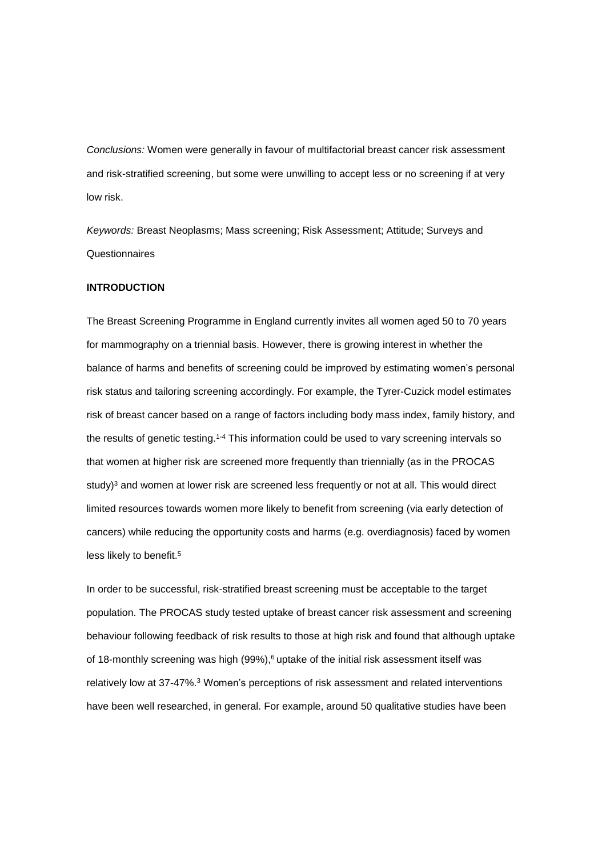*Conclusions:* Women were generally in favour of multifactorial breast cancer risk assessment and risk-stratified screening, but some were unwilling to accept less or no screening if at very low risk.

*Keywords:* Breast Neoplasms; Mass screening; Risk Assessment; Attitude; Surveys and Questionnaires

### **INTRODUCTION**

The Breast Screening Programme in England currently invites all women aged 50 to 70 years for mammography on a triennial basis. However, there is growing interest in whether the balance of harms and benefits of screening could be improved by estimating women's personal risk status and tailoring screening accordingly. For example, the Tyrer-Cuzick model estimates risk of breast cancer based on a range of factors including body mass index, family history, and the results of genetic testing.<sup>1-4</sup> This information could be used to vary screening intervals so that women at higher risk are screened more frequently than triennially (as in the PROCAS study $)$ <sup>3</sup> and women at lower risk are screened less frequently or not at all. This would direct limited resources towards women more likely to benefit from screening (via early detection of cancers) while reducing the opportunity costs and harms (e.g. overdiagnosis) faced by women less likely to benefit.<sup>5</sup>

In order to be successful, risk-stratified breast screening must be acceptable to the target population. The PROCAS study tested uptake of breast cancer risk assessment and screening behaviour following feedback of risk results to those at high risk and found that although uptake of 18-monthly screening was high (99%), <sup>6</sup> uptake of the initial risk assessment itself was relatively low at 37-47%.<sup>3</sup> Women's perceptions of risk assessment and related interventions have been well researched, in general. For example, around 50 qualitative studies have been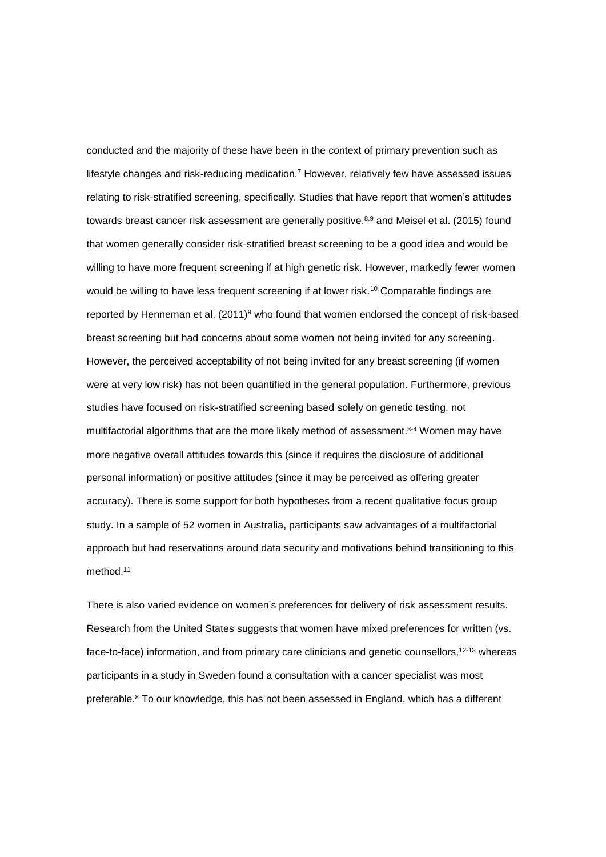conducted and the majority of these have been in the context of primary prevention such as lifestyle changes and risk-reducing medication.<sup>7</sup> However, relatively few have assessed issues relating to risk-stratified screening, specifically. Studies that have report that women's attitudes towards breast cancer risk assessment are generally positive.<sup>8,9</sup> and Meisel et al. (2015) found that women generally consider risk-stratified breast screening to be a good idea and would be willing to have more frequent screening if at high genetic risk. However, markedly fewer women would be willing to have less frequent screening if at lower risk.<sup>10</sup> Comparable findings are reported by Henneman et al.  $(2011)^9$  who found that women endorsed the concept of risk-based breast screening but had concerns about some women not being invited for any screening. However, the perceived acceptability of not being invited for any breast screening (if women were at very low risk) has not been quantified in the general population. Furthermore, previous studies have focused on risk-stratified screening based solely on genetic testing, not multifactorial algorithms that are the more likely method of assessment.<sup>3-4</sup> Women may have more negative overall attitudes towards this (since it requires the disclosure of additional personal information) or positive attitudes (since it may be perceived as offering greater accuracy). There is some support for both hypotheses from a recent qualitative focus group study. In a sample of 52 women in Australia, participants saw advantages of a multifactorial approach but had reservations around data security and motivations behind transitioning to this method. 11

There is also varied evidence on women's preferences for delivery of risk assessment results. Research from the United States suggests that women have mixed preferences for written (vs. face-to-face) information, and from primary care clinicians and genetic counsellors,<sup>12-13</sup> whereas participants in a study in Sweden found a consultation with a cancer specialist was most preferable. <sup>8</sup> To our knowledge, this has not been assessed in England, which has a different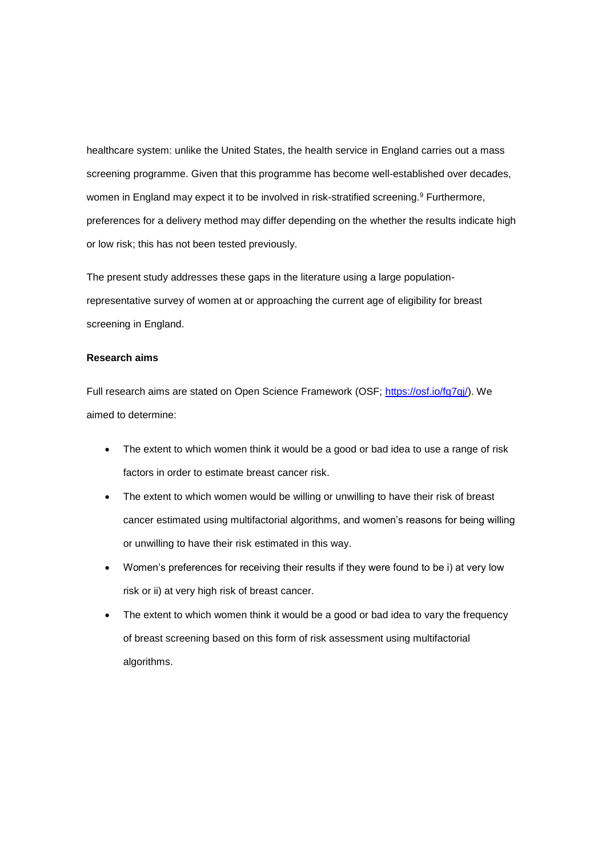healthcare system: unlike the United States, the health service in England carries out a mass screening programme. Given that this programme has become well-established over decades, women in England may expect it to be involved in risk-stratified screening.<sup>9</sup> Furthermore, preferences for a delivery method may differ depending on the whether the results indicate high or low risk; this has not been tested previously.

The present study addresses these gaps in the literature using a large populationrepresentative survey of women at or approaching the current age of eligibility for breast screening in England.

#### **Research aims**

Full research aims are stated on Open Science Framework (OSF; https://osf.io/fg7qi/). We aimed to determine:

- The extent to which women think it would be a good or bad idea to use a range of risk factors in order to estimate breast cancer risk.
- The extent to which women would be willing or unwilling to have their risk of breast cancer estimated using multifactorial algorithms, and women's reasons for being willing or unwilling to have their risk estimated in this way.
- Women's preferences for receiving their results if they were found to be i) at very low risk or ii) at very high risk of breast cancer.
- The extent to which women think it would be a good or bad idea to vary the frequency of breast screening based on this form of risk assessment using multifactorial algorithms.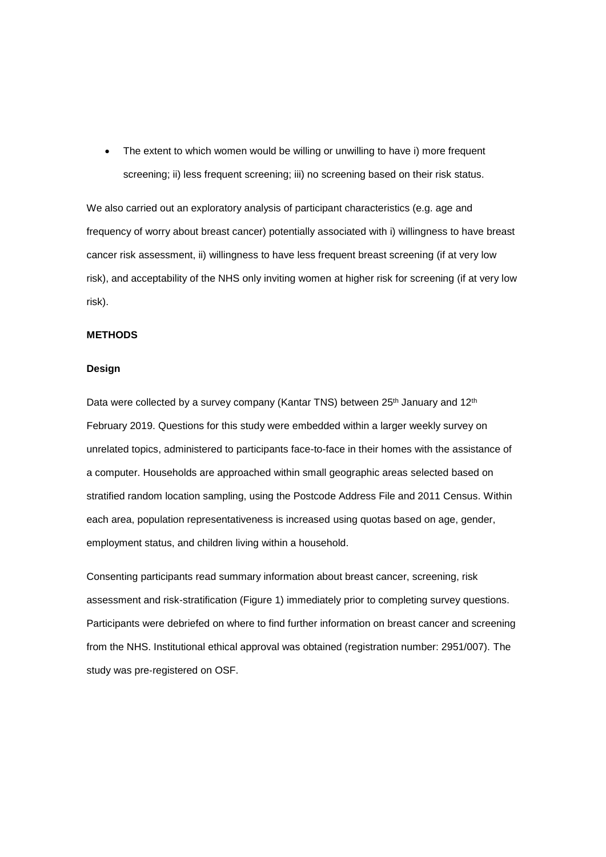• The extent to which women would be willing or unwilling to have i) more frequent screening; ii) less frequent screening; iii) no screening based on their risk status.

We also carried out an exploratory analysis of participant characteristics (e.g. age and frequency of worry about breast cancer) potentially associated with i) willingness to have breast cancer risk assessment, ii) willingness to have less frequent breast screening (if at very low risk), and acceptability of the NHS only inviting women at higher risk for screening (if at very low risk).

## **METHODS**

#### **Design**

Data were collected by a survey company (Kantar TNS) between 25<sup>th</sup> January and 12<sup>th</sup> February 2019. Questions for this study were embedded within a larger weekly survey on unrelated topics, administered to participants face-to-face in their homes with the assistance of a computer. Households are approached within small geographic areas selected based on stratified random location sampling, using the Postcode Address File and 2011 Census. Within each area, population representativeness is increased using quotas based on age, gender, employment status, and children living within a household.

Consenting participants read summary information about breast cancer, screening, risk assessment and risk-stratification (Figure 1) immediately prior to completing survey questions. Participants were debriefed on where to find further information on breast cancer and screening from the NHS. Institutional ethical approval was obtained (registration number: 2951/007). The study was pre‐registered on OSF.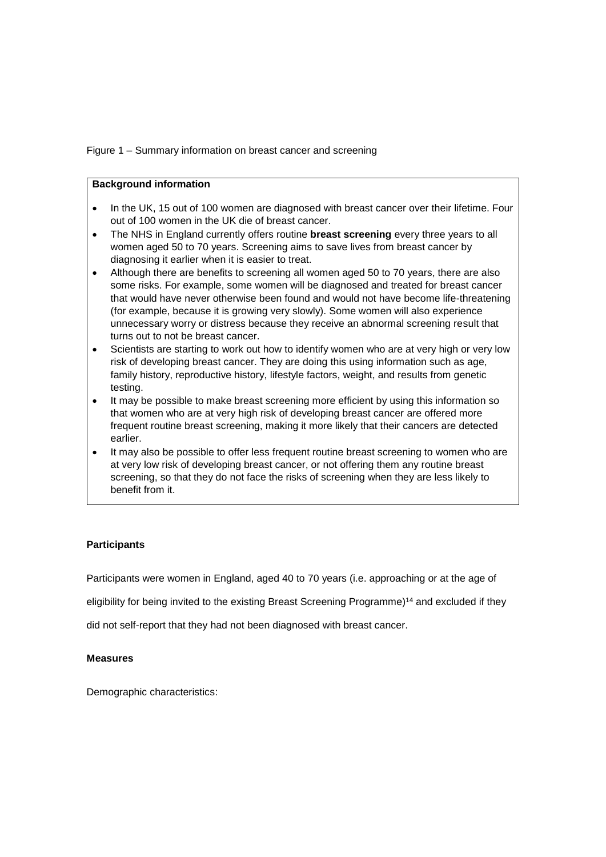Figure 1 – Summary information on breast cancer and screening

## **Background information**

- In the UK, 15 out of 100 women are diagnosed with breast cancer over their lifetime. Four out of 100 women in the UK die of breast cancer.
- The NHS in England currently offers routine **breast screening** every three years to all women aged 50 to 70 years. Screening aims to save lives from breast cancer by diagnosing it earlier when it is easier to treat.
- Although there are benefits to screening all women aged 50 to 70 years, there are also some risks. For example, some women will be diagnosed and treated for breast cancer that would have never otherwise been found and would not have become life-threatening (for example, because it is growing very slowly). Some women will also experience unnecessary worry or distress because they receive an abnormal screening result that turns out to not be breast cancer.
- Scientists are starting to work out how to identify women who are at very high or very low risk of developing breast cancer. They are doing this using information such as age, family history, reproductive history, lifestyle factors, weight, and results from genetic testing.
- It may be possible to make breast screening more efficient by using this information so that women who are at very high risk of developing breast cancer are offered more frequent routine breast screening, making it more likely that their cancers are detected earlier.
- It may also be possible to offer less frequent routine breast screening to women who are at very low risk of developing breast cancer, or not offering them any routine breast screening, so that they do not face the risks of screening when they are less likely to benefit from it.

## **Participants**

Participants were women in England, aged 40 to 70 years (i.e. approaching or at the age of

eligibility for being invited to the existing Breast Screening Programme) <sup>14</sup> and excluded if they

did not self-report that they had not been diagnosed with breast cancer.

#### **Measures**

Demographic characteristics: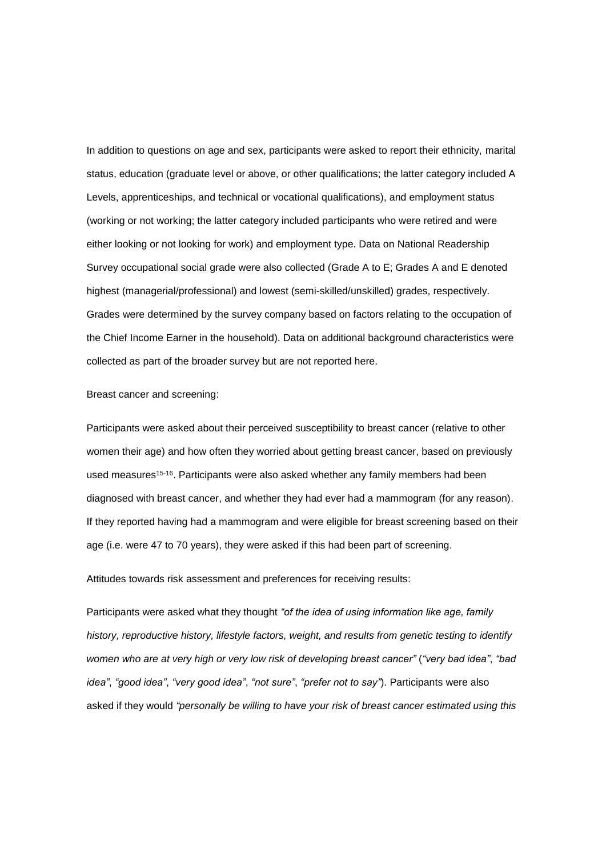In addition to questions on age and sex, participants were asked to report their ethnicity, marital status, education (graduate level or above, or other qualifications; the latter category included A Levels, apprenticeships, and technical or vocational qualifications), and employment status (working or not working; the latter category included participants who were retired and were either looking or not looking for work) and employment type. Data on National Readership Survey occupational social grade were also collected (Grade A to E; Grades A and E denoted highest (managerial/professional) and lowest (semi-skilled/unskilled) grades, respectively. Grades were determined by the survey company based on factors relating to the occupation of the Chief Income Earner in the household). Data on additional background characteristics were collected as part of the broader survey but are not reported here.

Breast cancer and screening:

Participants were asked about their perceived susceptibility to breast cancer (relative to other women their age) and how often they worried about getting breast cancer, based on previously used measures<sup>15-16</sup>. Participants were also asked whether any family members had been diagnosed with breast cancer, and whether they had ever had a mammogram (for any reason). If they reported having had a mammogram and were eligible for breast screening based on their age (i.e. were 47 to 70 years), they were asked if this had been part of screening.

Attitudes towards risk assessment and preferences for receiving results:

Participants were asked what they thought *"of the idea of using information like age, family history, reproductive history, lifestyle factors, weight, and results from genetic testing to identify women who are at very high or very low risk of developing breast cancer"* (*"very bad idea"*, *"bad idea"*, *"good idea"*, *"very good idea"*, *"not sure"*, *"prefer not to say"*). Participants were also asked if they would *"personally be willing to have your risk of breast cancer estimated using this*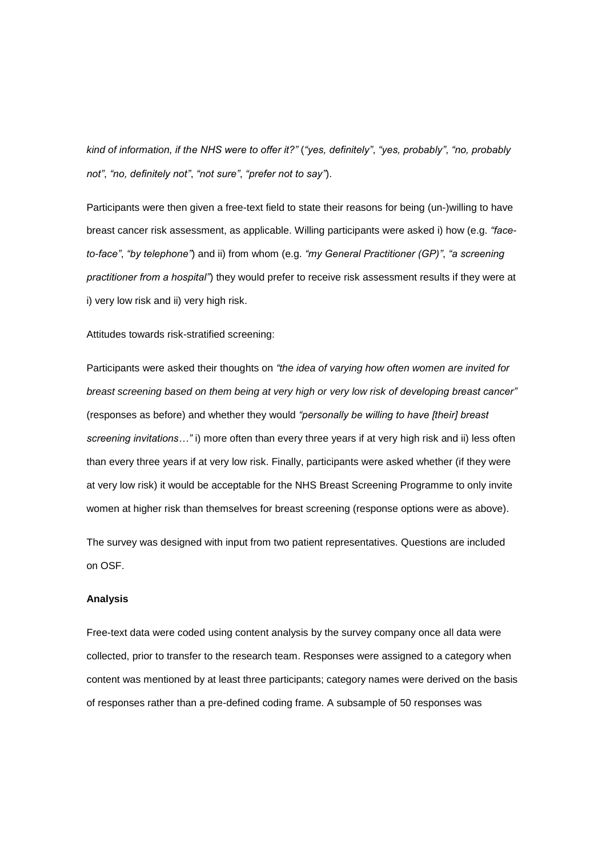*kind of information, if the NHS were to offer it?"* (*"yes, definitely"*, *"yes, probably"*, *"no, probably not"*, *"no, definitely not"*, *"not sure"*, *"prefer not to say"*).

Participants were then given a free-text field to state their reasons for being (un-)willing to have breast cancer risk assessment, as applicable. Willing participants were asked i) how (e.g. *"faceto-face"*, *"by telephone"*) and ii) from whom (e.g. *"my General Practitioner (GP)"*, *"a screening practitioner from a hospital"*) they would prefer to receive risk assessment results if they were at i) very low risk and ii) very high risk.

#### Attitudes towards risk-stratified screening:

Participants were asked their thoughts on *"the idea of varying how often women are invited for breast screening based on them being at very high or very low risk of developing breast cancer"* (responses as before) and whether they would *"personally be willing to have [their] breast screening invitations…"* i) more often than every three years if at very high risk and ii) less often than every three years if at very low risk. Finally, participants were asked whether (if they were at very low risk) it would be acceptable for the NHS Breast Screening Programme to only invite women at higher risk than themselves for breast screening (response options were as above).

The survey was designed with input from two patient representatives. Questions are included on OSF.

#### **Analysis**

Free-text data were coded using content analysis by the survey company once all data were collected, prior to transfer to the research team. Responses were assigned to a category when content was mentioned by at least three participants; category names were derived on the basis of responses rather than a pre-defined coding frame. A subsample of 50 responses was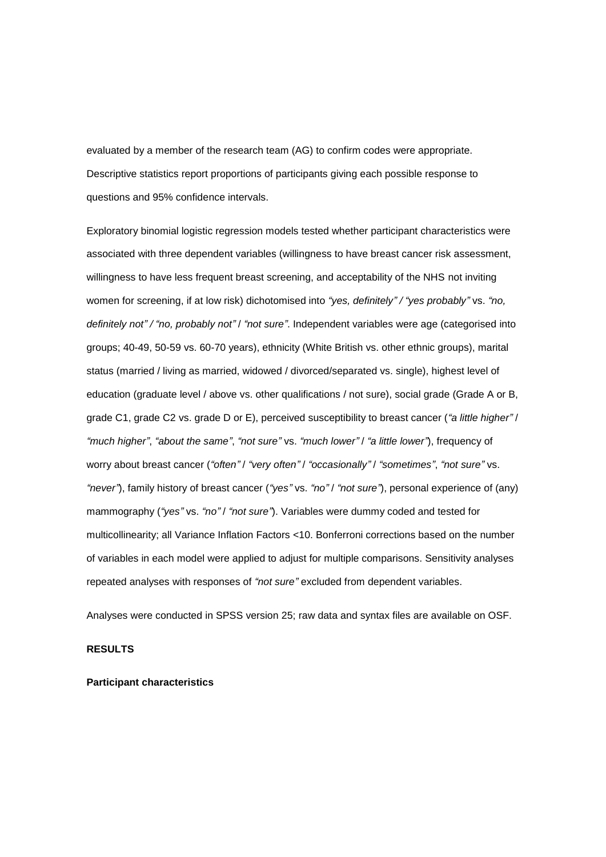evaluated by a member of the research team (AG) to confirm codes were appropriate. Descriptive statistics report proportions of participants giving each possible response to questions and 95% confidence intervals.

Exploratory binomial logistic regression models tested whether participant characteristics were associated with three dependent variables (willingness to have breast cancer risk assessment, willingness to have less frequent breast screening, and acceptability of the NHS not inviting women for screening, if at low risk) dichotomised into *"yes, definitely" / "yes probably"* vs. *"no, definitely not" / "no, probably not"* / *"not sure"*. Independent variables were age (categorised into groups; 40-49, 50-59 vs. 60-70 years), ethnicity (White British vs. other ethnic groups), marital status (married / living as married, widowed / divorced/separated vs. single), highest level of education (graduate level / above vs. other qualifications / not sure), social grade (Grade A or B, grade C1, grade C2 vs. grade D or E), perceived susceptibility to breast cancer (*"a little higher"* / *"much higher"*, *"about the same"*, *"not sure"* vs. *"much lower"* / *"a little lower"*), frequency of worry about breast cancer (*"often"* / *"very often"* / *"occasionally"* / *"sometimes"*, *"not sure"* vs. *"never"*), family history of breast cancer (*"yes"* vs. *"no"* / *"not sure"*), personal experience of (any) mammography (*"yes"* vs. *"no"* / *"not sure"*). Variables were dummy coded and tested for multicollinearity; all Variance Inflation Factors <10. Bonferroni corrections based on the number of variables in each model were applied to adjust for multiple comparisons. Sensitivity analyses repeated analyses with responses of *"not sure"* excluded from dependent variables.

Analyses were conducted in SPSS version 25; raw data and syntax files are available on OSF.

#### **RESULTS**

#### **Participant characteristics**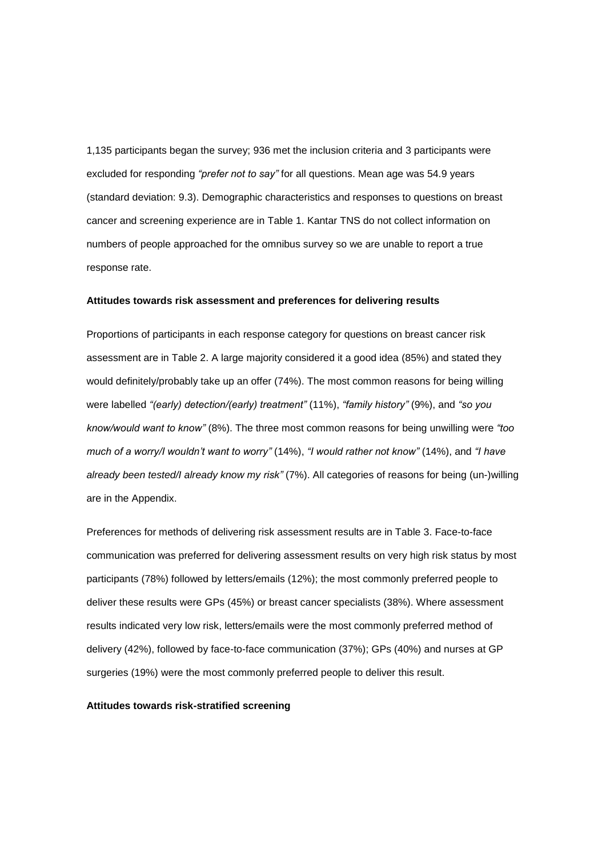1,135 participants began the survey; 936 met the inclusion criteria and 3 participants were excluded for responding *"prefer not to say"* for all questions. Mean age was 54.9 years (standard deviation: 9.3). Demographic characteristics and responses to questions on breast cancer and screening experience are in Table 1. Kantar TNS do not collect information on numbers of people approached for the omnibus survey so we are unable to report a true response rate.

#### **Attitudes towards risk assessment and preferences for delivering results**

Proportions of participants in each response category for questions on breast cancer risk assessment are in Table 2. A large majority considered it a good idea (85%) and stated they would definitely/probably take up an offer (74%). The most common reasons for being willing were labelled *"(early) detection/(early) treatment"* (11%), *"family history"* (9%), and *"so you know/would want to know"* (8%). The three most common reasons for being unwilling were *"too much of a worry/I wouldn't want to worry"* (14%), *"I would rather not know"* (14%), and *"I have already been tested/I already know my risk"* (7%). All categories of reasons for being (un-)willing are in the Appendix.

Preferences for methods of delivering risk assessment results are in Table 3. Face-to-face communication was preferred for delivering assessment results on very high risk status by most participants (78%) followed by letters/emails (12%); the most commonly preferred people to deliver these results were GPs (45%) or breast cancer specialists (38%). Where assessment results indicated very low risk, letters/emails were the most commonly preferred method of delivery (42%), followed by face-to-face communication (37%); GPs (40%) and nurses at GP surgeries (19%) were the most commonly preferred people to deliver this result.

#### **Attitudes towards risk-stratified screening**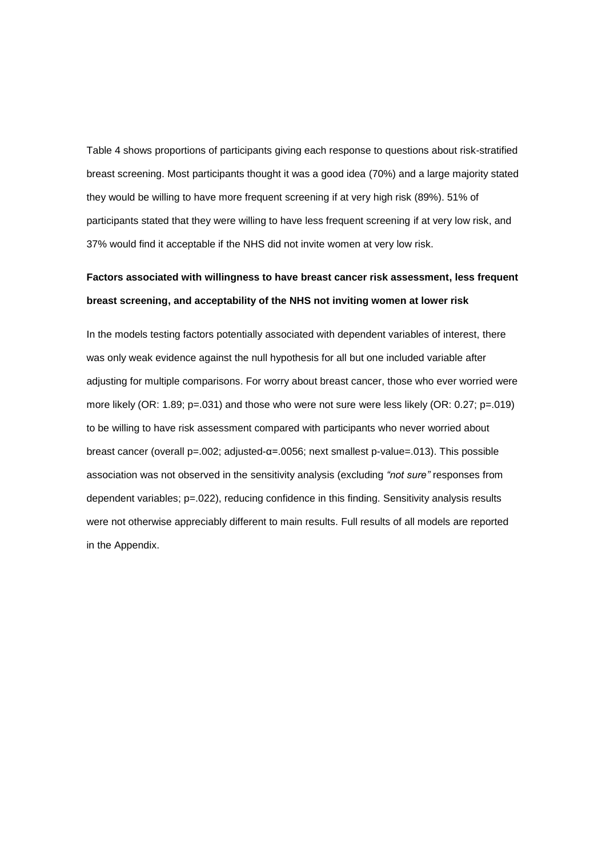Table 4 shows proportions of participants giving each response to questions about risk-stratified breast screening. Most participants thought it was a good idea (70%) and a large majority stated they would be willing to have more frequent screening if at very high risk (89%). 51% of participants stated that they were willing to have less frequent screening if at very low risk, and 37% would find it acceptable if the NHS did not invite women at very low risk.

# **Factors associated with willingness to have breast cancer risk assessment, less frequent breast screening, and acceptability of the NHS not inviting women at lower risk**

In the models testing factors potentially associated with dependent variables of interest, there was only weak evidence against the null hypothesis for all but one included variable after adjusting for multiple comparisons. For worry about breast cancer, those who ever worried were more likely (OR: 1.89; p=.031) and those who were not sure were less likely (OR: 0.27; p=.019) to be willing to have risk assessment compared with participants who never worried about breast cancer (overall p=.002; adjusted-α=.0056; next smallest p-value=.013). This possible association was not observed in the sensitivity analysis (excluding *"not sure"* responses from dependent variables; p=.022), reducing confidence in this finding. Sensitivity analysis results were not otherwise appreciably different to main results. Full results of all models are reported in the Appendix.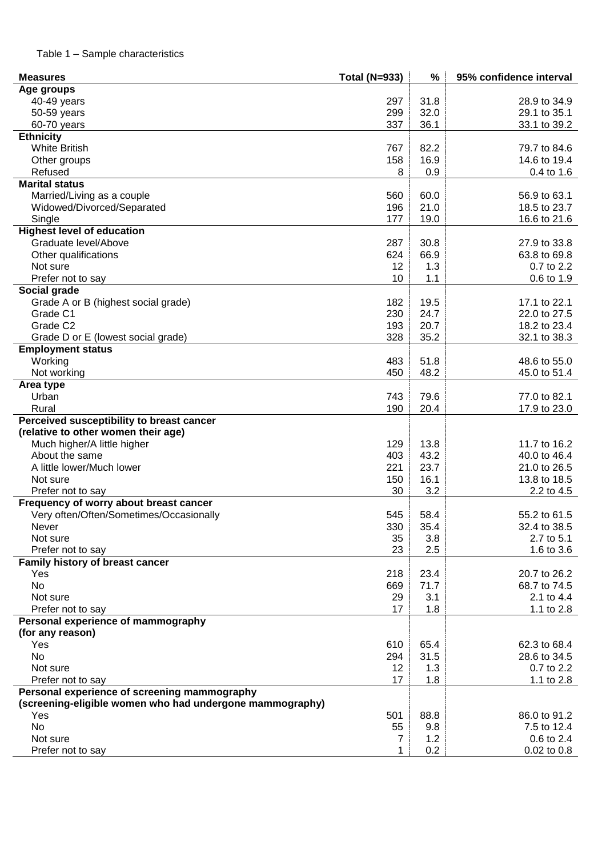| <b>Measures</b>                                          | <b>Total (N=933)</b> | %    | 95% confidence interval |
|----------------------------------------------------------|----------------------|------|-------------------------|
| Age groups                                               |                      |      |                         |
| 40-49 years                                              | 297                  | 31.8 | 28.9 to 34.9            |
| 50-59 years                                              | 299                  | 32.0 | 29.1 to 35.1            |
| 60-70 years                                              | 337                  | 36.1 | 33.1 to 39.2            |
| <b>Ethnicity</b>                                         |                      |      |                         |
| <b>White British</b>                                     | 767                  | 82.2 | 79.7 to 84.6            |
| Other groups                                             | 158                  | 16.9 | 14.6 to 19.4            |
| Refused                                                  | 8                    | 0.9  | 0.4 to 1.6              |
| <b>Marital status</b>                                    |                      |      |                         |
| Married/Living as a couple                               | 560                  | 60.0 | 56.9 to 63.1            |
| Widowed/Divorced/Separated                               | 196                  | 21.0 | 18.5 to 23.7            |
| Single                                                   | 177                  | 19.0 | 16.6 to 21.6            |
| <b>Highest level of education</b>                        |                      |      |                         |
| Graduate level/Above                                     | 287                  | 30.8 | 27.9 to 33.8            |
| Other qualifications                                     | 624                  | 66.9 | 63.8 to 69.8            |
| Not sure                                                 | 12                   | 1.3  | 0.7 to 2.2              |
| Prefer not to say                                        | 10                   | 1.1  | 0.6 to 1.9              |
| Social grade                                             |                      |      |                         |
| Grade A or B (highest social grade)                      | 182                  | 19.5 | 17.1 to 22.1            |
| Grade C1                                                 | 230                  | 24.7 | 22.0 to 27.5            |
| Grade C <sub>2</sub>                                     | 193                  | 20.7 | 18.2 to 23.4            |
| Grade D or E (lowest social grade)                       | 328                  | 35.2 | 32.1 to 38.3            |
| <b>Employment status</b>                                 |                      |      |                         |
| Working                                                  | 483                  | 51.8 | 48.6 to 55.0            |
| Not working                                              | 450                  | 48.2 | 45.0 to 51.4            |
|                                                          |                      |      |                         |
| Area type                                                |                      |      |                         |
| Urban                                                    | 743                  | 79.6 | 77.0 to 82.1            |
| Rural                                                    | 190                  | 20.4 | 17.9 to 23.0            |
| Perceived susceptibility to breast cancer                |                      |      |                         |
| (relative to other women their age)                      |                      |      |                         |
| Much higher/A little higher                              | 129                  | 13.8 | 11.7 to 16.2            |
| About the same                                           | 403                  | 43.2 | 40.0 to 46.4            |
| A little lower/Much lower                                | 221                  | 23.7 | 21.0 to 26.5            |
| Not sure                                                 | 150                  | 16.1 | 13.8 to 18.5            |
| Prefer not to say                                        | 30                   | 3.2  | 2.2 to 4.5              |
| Frequency of worry about breast cancer                   |                      |      |                         |
| Very often/Often/Sometimes/Occasionally                  | 545                  | 58.4 | 55.2 to 61.5            |
| Never                                                    | 330                  | 35.4 | 32.4 to 38.5            |
| Not sure                                                 | 35                   | 3.8  | 2.7 to 5.1              |
| Prefer not to say                                        | 23                   | 2.5  | 1.6 to 3.6              |
| Family history of breast cancer                          |                      |      |                         |
| Yes                                                      | 218                  | 23.4 | 20.7 to 26.2            |
| <b>No</b>                                                | 669                  | 71.7 | 68.7 to 74.5            |
| Not sure                                                 | 29                   | 3.1  | 2.1 to 4.4              |
| Prefer not to say                                        | 17                   | 1.8  | 1.1 to 2.8              |
| Personal experience of mammography                       |                      |      |                         |
| (for any reason)                                         |                      |      |                         |
| Yes                                                      | 610                  | 65.4 | 62.3 to 68.4            |
| <b>No</b>                                                | 294                  | 31.5 | 28.6 to 34.5            |
| Not sure                                                 | 12                   | 1.3  | 0.7 to 2.2              |
| Prefer not to say                                        | 17                   | 1.8  | 1.1 to 2.8              |
| Personal experience of screening mammography             |                      |      |                         |
| (screening-eligible women who had undergone mammography) |                      |      |                         |
| Yes                                                      | 501                  | 88.8 | 86.0 to 91.2            |
| No                                                       | 55                   | 9.8  | 7.5 to 12.4             |
| Not sure                                                 | 7                    | 1.2  | 0.6 to 2.4              |
| Prefer not to say                                        | 1                    | 0.2  | $0.02$ to $0.8$         |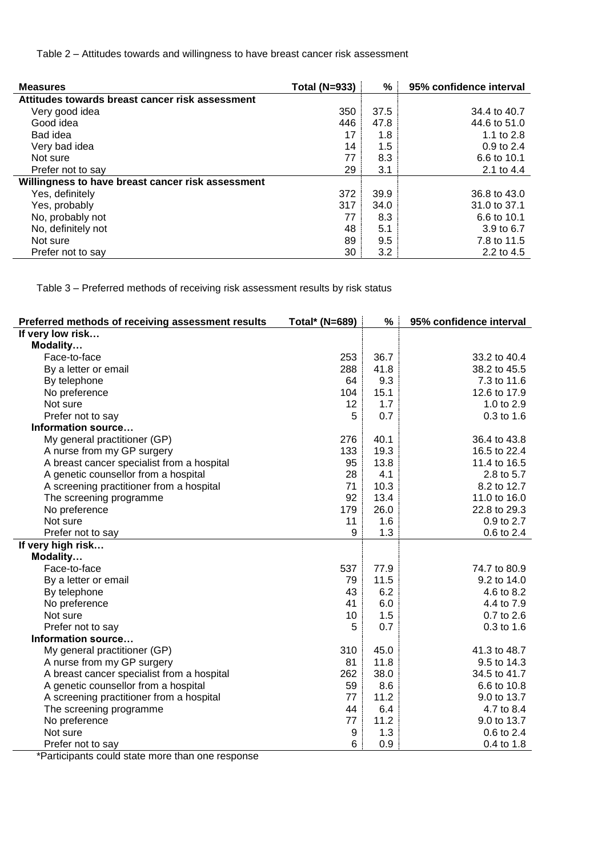Table 2 – Attitudes towards and willingness to have breast cancer risk assessment

| <b>Measures</b>                                   | <b>Total (N=933)</b> | %    | 95% confidence interval |
|---------------------------------------------------|----------------------|------|-------------------------|
| Attitudes towards breast cancer risk assessment   |                      |      |                         |
| Very good idea                                    | 350                  | 37.5 | 34.4 to 40.7            |
| Good idea                                         | 446                  | 47.8 | 44.6 to 51.0            |
| Bad idea                                          | 17                   | 1.8  | 1.1 to 2.8              |
| Very bad idea                                     | 14                   | 1.5  | $0.9$ to 2.4            |
| Not sure                                          | 77                   | 8.3  | 6.6 to 10.1             |
| Prefer not to say                                 | 29                   | 3.1  | 2.1 to 4.4              |
| Willingness to have breast cancer risk assessment |                      |      |                         |
| Yes, definitely                                   | 372                  | 39.9 | 36.8 to 43.0            |
| Yes, probably                                     | 317                  | 34.0 | 31.0 to 37.1            |
| No, probably not                                  | 77                   | 8.3  | 6.6 to 10.1             |
| No, definitely not                                | 48                   | 5.1  | 3.9 to 6.7              |
| Not sure                                          | 89                   | 9.5  | 7.8 to 11.5             |
| Prefer not to say                                 | 30                   | 3.2  | 2.2 to 4.5              |

Table 3 – Preferred methods of receiving risk assessment results by risk status

| Preferred methods of receiving assessment results | Total* (N=689) | $\%$ | 95% confidence interval |
|---------------------------------------------------|----------------|------|-------------------------|
| If very low risk                                  |                |      |                         |
| Modality                                          |                |      |                         |
| Face-to-face                                      | 253            | 36.7 | 33.2 to 40.4            |
| By a letter or email                              | 288            | 41.8 | 38.2 to 45.5            |
| By telephone                                      | 64             | 9.3  | 7.3 to 11.6             |
| No preference                                     | 104            | 15.1 | 12.6 to 17.9            |
| Not sure                                          | 12             | 1.7  | 1.0 to 2.9              |
| Prefer not to say                                 | 5              | 0.7  | $0.3$ to 1.6            |
| Information source                                |                |      |                         |
| My general practitioner (GP)                      | 276            | 40.1 | 36.4 to 43.8            |
| A nurse from my GP surgery                        | 133            | 19.3 | 16.5 to 22.4            |
| A breast cancer specialist from a hospital        | 95             | 13.8 | 11.4 to 16.5            |
| A genetic counsellor from a hospital              | 28             | 4.1  | 2.8 to 5.7              |
| A screening practitioner from a hospital          | 71             | 10.3 | 8.2 to 12.7             |
| The screening programme                           | 92             | 13.4 | 11.0 to 16.0            |
| No preference                                     | 179            | 26.0 | 22.8 to 29.3            |
| Not sure                                          | 11             | 1.6  | 0.9 to 2.7              |
| Prefer not to say                                 | 9              | 1.3  | 0.6 to 2.4              |
| If very high risk                                 |                |      |                         |
| Modality                                          |                |      |                         |
| Face-to-face                                      | 537            | 77.9 | 74.7 to 80.9            |
| By a letter or email                              | 79             | 11.5 | 9.2 to 14.0             |
| By telephone                                      | 43             | 6.2  | 4.6 to 8.2              |
| No preference                                     | 41             | 6.0  | 4.4 to 7.9              |
| Not sure                                          | 10             | 1.5  | 0.7 to 2.6              |
| Prefer not to say                                 | 5              | 0.7  | $0.3$ to 1.6            |
| Information source                                |                |      |                         |
| My general practitioner (GP)                      | 310            | 45.0 | 41.3 to 48.7            |
| A nurse from my GP surgery                        | 81             | 11.8 | 9.5 to 14.3             |
| A breast cancer specialist from a hospital        | 262            | 38.0 | 34.5 to 41.7            |
| A genetic counsellor from a hospital              | 59             | 8.6  | 6.6 to 10.8             |
| A screening practitioner from a hospital          | 77             | 11.2 | 9.0 to 13.7             |
| The screening programme                           | 44             | 6.4  | 4.7 to 8.4              |
| No preference                                     | 77             | 11.2 | 9.0 to 13.7             |
| Not sure                                          | 9              | 1.3  | 0.6 to 2.4              |
| Prefer not to say                                 | 6              | 0.9  | 0.4 to 1.8              |

\*Participants could state more than one response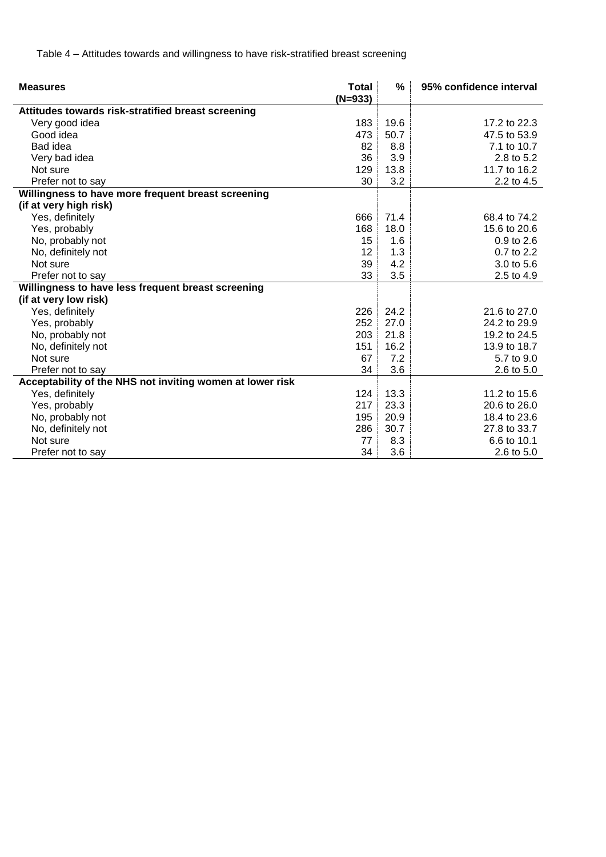Table 4 – Attitudes towards and willingness to have risk-stratified breast screening

| <b>Measures</b>                                           | <b>Total</b><br>$(N=933)$ | %    | 95% confidence interval |
|-----------------------------------------------------------|---------------------------|------|-------------------------|
| Attitudes towards risk-stratified breast screening        |                           |      |                         |
| Very good idea                                            | 183                       | 19.6 | 17.2 to 22.3            |
| Good idea                                                 | 473                       | 50.7 | 47.5 to 53.9            |
| Bad idea                                                  | 82                        | 8.8  | 7.1 to 10.7             |
| Very bad idea                                             | 36                        | 3.9  | 2.8 to 5.2              |
| Not sure                                                  | 129                       | 13.8 | 11.7 to 16.2            |
| Prefer not to say                                         | 30                        | 3.2  | 2.2 to 4.5              |
| Willingness to have more frequent breast screening        |                           |      |                         |
| (if at very high risk)                                    |                           |      |                         |
| Yes, definitely                                           | 666                       | 71.4 | 68.4 to 74.2            |
| Yes, probably                                             | 168                       | 18.0 | 15.6 to 20.6            |
| No, probably not                                          | 15                        | 1.6  | 0.9 to 2.6              |
| No, definitely not                                        | 12                        | 1.3  | 0.7 to 2.2              |
| Not sure                                                  | 39                        | 4.2  | 3.0 to 5.6              |
| Prefer not to say                                         | 33                        | 3.5  | 2.5 to 4.9              |
| Willingness to have less frequent breast screening        |                           |      |                         |
| (if at very low risk)                                     |                           |      |                         |
| Yes, definitely                                           | 226                       | 24.2 | 21.6 to 27.0            |
| Yes, probably                                             | 252                       | 27.0 | 24.2 to 29.9            |
| No, probably not                                          | 203                       | 21.8 | 19.2 to 24.5            |
| No, definitely not                                        | 151                       | 16.2 | 13.9 to 18.7            |
| Not sure                                                  | 67                        | 7.2  | 5.7 to 9.0              |
| Prefer not to say                                         | 34                        | 3.6  | 2.6 to 5.0              |
| Acceptability of the NHS not inviting women at lower risk |                           |      |                         |
| Yes, definitely                                           | 124                       | 13.3 | 11.2 to 15.6            |
| Yes, probably                                             | 217                       | 23.3 | 20.6 to 26.0            |
| No, probably not                                          | 195                       | 20.9 | 18.4 to 23.6            |
| No, definitely not                                        | 286                       | 30.7 | 27.8 to 33.7            |
| Not sure                                                  | 77                        | 8.3  | 6.6 to 10.1             |
| Prefer not to say                                         | 34                        | 3.6  | $2.6 \text{ to } 5.0$   |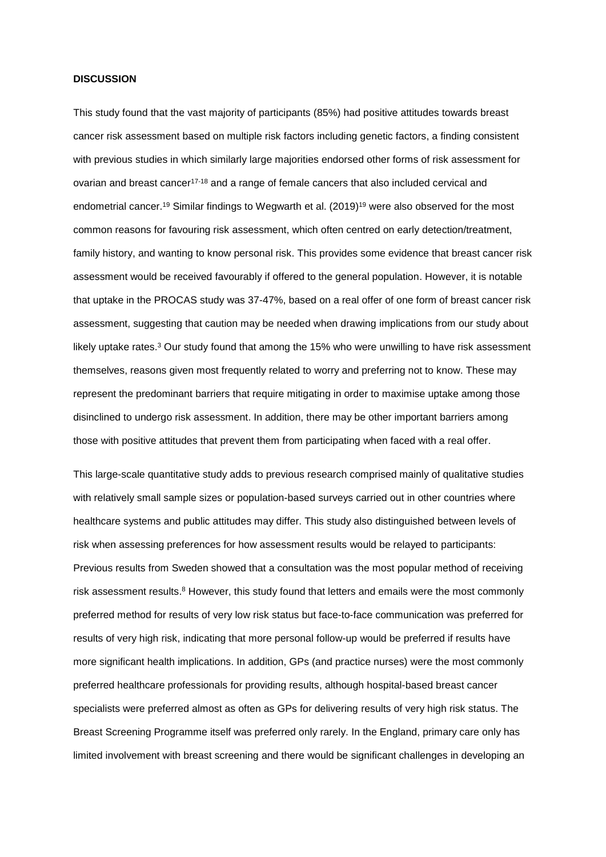#### **DISCUSSION**

This study found that the vast majority of participants (85%) had positive attitudes towards breast cancer risk assessment based on multiple risk factors including genetic factors, a finding consistent with previous studies in which similarly large majorities endorsed other forms of risk assessment for ovarian and breast cancer<sup>17-18</sup> and a range of female cancers that also included cervical and endometrial cancer.<sup>19</sup> Similar findings to Wegwarth et al. (2019)<sup>19</sup> were also observed for the most common reasons for favouring risk assessment, which often centred on early detection/treatment, family history, and wanting to know personal risk. This provides some evidence that breast cancer risk assessment would be received favourably if offered to the general population. However, it is notable that uptake in the PROCAS study was 37-47%, based on a real offer of one form of breast cancer risk assessment, suggesting that caution may be needed when drawing implications from our study about likely uptake rates.<sup>3</sup> Our study found that among the 15% who were unwilling to have risk assessment themselves, reasons given most frequently related to worry and preferring not to know. These may represent the predominant barriers that require mitigating in order to maximise uptake among those disinclined to undergo risk assessment. In addition, there may be other important barriers among those with positive attitudes that prevent them from participating when faced with a real offer.

This large-scale quantitative study adds to previous research comprised mainly of qualitative studies with relatively small sample sizes or population-based surveys carried out in other countries where healthcare systems and public attitudes may differ. This study also distinguished between levels of risk when assessing preferences for how assessment results would be relayed to participants: Previous results from Sweden showed that a consultation was the most popular method of receiving risk assessment results.<sup>8</sup> However, this study found that letters and emails were the most commonly preferred method for results of very low risk status but face-to-face communication was preferred for results of very high risk, indicating that more personal follow-up would be preferred if results have more significant health implications. In addition, GPs (and practice nurses) were the most commonly preferred healthcare professionals for providing results, although hospital-based breast cancer specialists were preferred almost as often as GPs for delivering results of very high risk status. The Breast Screening Programme itself was preferred only rarely. In the England, primary care only has limited involvement with breast screening and there would be significant challenges in developing an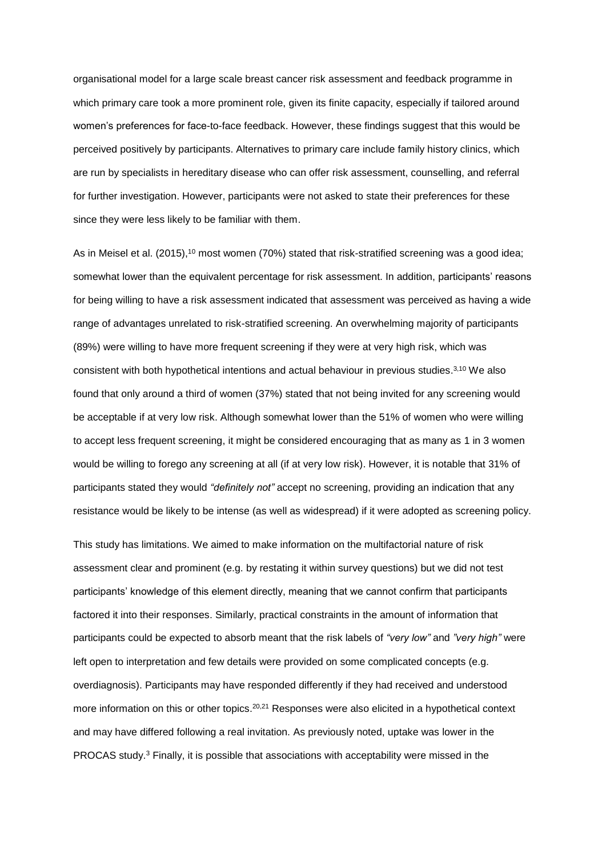organisational model for a large scale breast cancer risk assessment and feedback programme in which primary care took a more prominent role, given its finite capacity, especially if tailored around women's preferences for face-to-face feedback. However, these findings suggest that this would be perceived positively by participants. Alternatives to primary care include family history clinics, which are run by specialists in hereditary disease who can offer risk assessment, counselling, and referral for further investigation. However, participants were not asked to state their preferences for these since they were less likely to be familiar with them.

As in Meisel et al. (2015),<sup>10</sup> most women (70%) stated that risk-stratified screening was a good idea; somewhat lower than the equivalent percentage for risk assessment. In addition, participants' reasons for being willing to have a risk assessment indicated that assessment was perceived as having a wide range of advantages unrelated to risk-stratified screening. An overwhelming majority of participants (89%) were willing to have more frequent screening if they were at very high risk, which was consistent with both hypothetical intentions and actual behaviour in previous studies. 3,10 We also found that only around a third of women (37%) stated that not being invited for any screening would be acceptable if at very low risk. Although somewhat lower than the 51% of women who were willing to accept less frequent screening, it might be considered encouraging that as many as 1 in 3 women would be willing to forego any screening at all (if at very low risk). However, it is notable that 31% of participants stated they would *"definitely not"* accept no screening, providing an indication that any resistance would be likely to be intense (as well as widespread) if it were adopted as screening policy.

This study has limitations. We aimed to make information on the multifactorial nature of risk assessment clear and prominent (e.g. by restating it within survey questions) but we did not test participants' knowledge of this element directly, meaning that we cannot confirm that participants factored it into their responses. Similarly, practical constraints in the amount of information that participants could be expected to absorb meant that the risk labels of *"very low"* and *"very high"* were left open to interpretation and few details were provided on some complicated concepts (e.g. overdiagnosis). Participants may have responded differently if they had received and understood more information on this or other topics.<sup>20,21</sup> Responses were also elicited in a hypothetical context and may have differed following a real invitation. As previously noted, uptake was lower in the PROCAS study.<sup>3</sup> Finally, it is possible that associations with acceptability were missed in the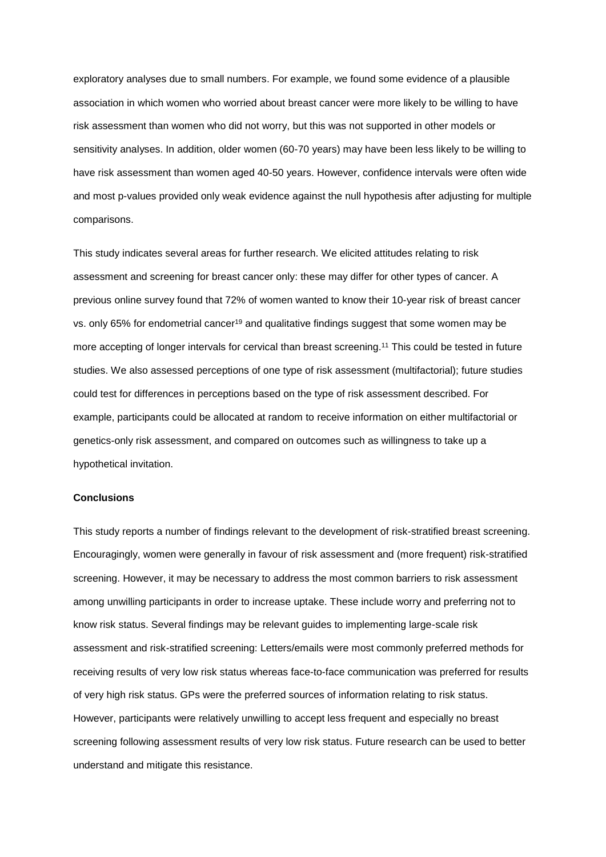exploratory analyses due to small numbers. For example, we found some evidence of a plausible association in which women who worried about breast cancer were more likely to be willing to have risk assessment than women who did not worry, but this was not supported in other models or sensitivity analyses. In addition, older women (60-70 years) may have been less likely to be willing to have risk assessment than women aged 40-50 years. However, confidence intervals were often wide and most p-values provided only weak evidence against the null hypothesis after adjusting for multiple comparisons.

This study indicates several areas for further research. We elicited attitudes relating to risk assessment and screening for breast cancer only: these may differ for other types of cancer. A previous online survey found that 72% of women wanted to know their 10-year risk of breast cancer vs. only 65% for endometrial cancer<sup>19</sup> and qualitative findings suggest that some women may be more accepting of longer intervals for cervical than breast screening. <sup>11</sup> This could be tested in future studies. We also assessed perceptions of one type of risk assessment (multifactorial); future studies could test for differences in perceptions based on the type of risk assessment described. For example, participants could be allocated at random to receive information on either multifactorial or genetics-only risk assessment, and compared on outcomes such as willingness to take up a hypothetical invitation.

### **Conclusions**

This study reports a number of findings relevant to the development of risk-stratified breast screening. Encouragingly, women were generally in favour of risk assessment and (more frequent) risk-stratified screening. However, it may be necessary to address the most common barriers to risk assessment among unwilling participants in order to increase uptake. These include worry and preferring not to know risk status. Several findings may be relevant guides to implementing large-scale risk assessment and risk-stratified screening: Letters/emails were most commonly preferred methods for receiving results of very low risk status whereas face-to-face communication was preferred for results of very high risk status. GPs were the preferred sources of information relating to risk status. However, participants were relatively unwilling to accept less frequent and especially no breast screening following assessment results of very low risk status. Future research can be used to better understand and mitigate this resistance.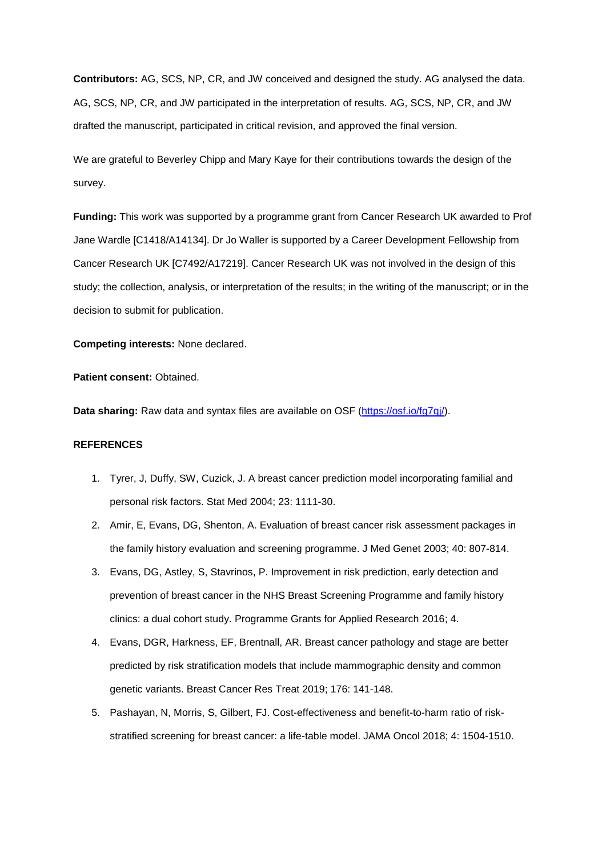**Contributors:** AG, SCS, NP, CR, and JW conceived and designed the study. AG analysed the data. AG, SCS, NP, CR, and JW participated in the interpretation of results. AG, SCS, NP, CR, and JW drafted the manuscript, participated in critical revision, and approved the final version.

We are grateful to Beverley Chipp and Mary Kaye for their contributions towards the design of the survey.

**Funding:** This work was supported by a programme grant from Cancer Research UK awarded to Prof Jane Wardle [C1418/A14134]. Dr Jo Waller is supported by a Career Development Fellowship from Cancer Research UK [C7492/A17219]. Cancer Research UK was not involved in the design of this study; the collection, analysis, or interpretation of the results; in the writing of the manuscript; or in the decision to submit for publication.

**Competing interests:** None declared.

**Patient consent:** Obtained.

**Data sharing:** Raw data and syntax files are available on OSF (https://osf.io/fq7qj/).

## **REFERENCES**

- 1. Tyrer, J, Duffy, SW, Cuzick, J. A breast cancer prediction model incorporating familial and personal risk factors. Stat Med 2004; 23: 1111-30.
- 2. Amir, E, Evans, DG, Shenton, A. Evaluation of breast cancer risk assessment packages in the family history evaluation and screening programme. J Med Genet 2003; 40: 807-814.
- 3. Evans, DG, Astley, S, Stavrinos, P. Improvement in risk prediction, early detection and prevention of breast cancer in the NHS Breast Screening Programme and family history clinics: a dual cohort study. Programme Grants for Applied Research 2016; 4.
- 4. Evans, DGR, Harkness, EF, Brentnall, AR. Breast cancer pathology and stage are better predicted by risk stratification models that include mammographic density and common genetic variants. Breast Cancer Res Treat 2019; 176: 141-148.
- 5. Pashayan, N, Morris, S, Gilbert, FJ. Cost-effectiveness and benefit-to-harm ratio of riskstratified screening for breast cancer: a life-table model. JAMA Oncol 2018; 4: 1504-1510.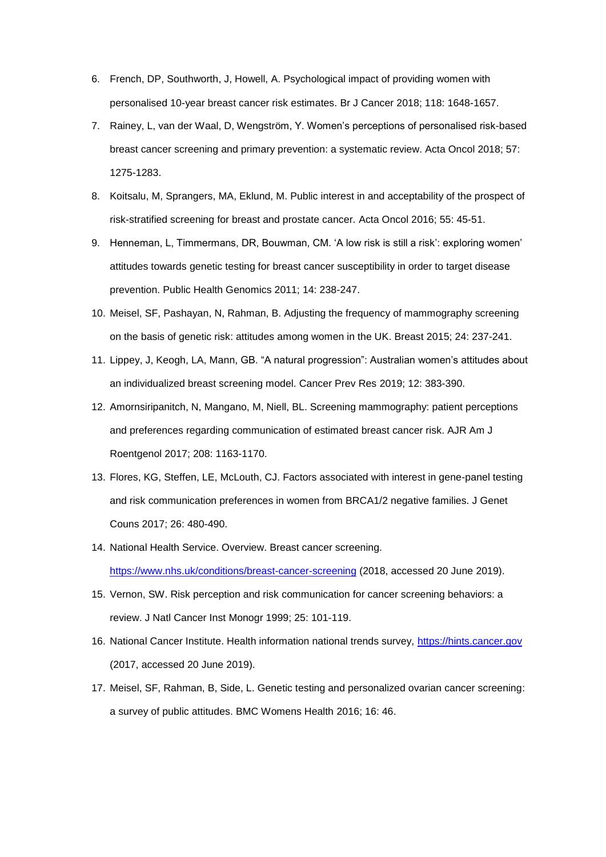- 6. French, DP, Southworth, J, Howell, A. Psychological impact of providing women with personalised 10-year breast cancer risk estimates. Br J Cancer 2018; 118: 1648-1657.
- 7. Rainey, L, van der Waal, D, Wengström, Y. Women's perceptions of personalised risk-based breast cancer screening and primary prevention: a systematic review. Acta Oncol 2018; 57: 1275-1283.
- 8. Koitsalu, M, Sprangers, MA, Eklund, M. Public interest in and acceptability of the prospect of risk-stratified screening for breast and prostate cancer. Acta Oncol 2016; 55: 45-51.
- 9. Henneman, L, Timmermans, DR, Bouwman, CM. 'A low risk is still a risk': exploring women' attitudes towards genetic testing for breast cancer susceptibility in order to target disease prevention. Public Health Genomics 2011; 14: 238-247.
- 10. Meisel, SF, Pashayan, N, Rahman, B. Adjusting the frequency of mammography screening on the basis of genetic risk: attitudes among women in the UK. Breast 2015; 24: 237-241.
- 11. Lippey, J, Keogh, LA, Mann, GB. "A natural progression": Australian women's attitudes about an individualized breast screening model. Cancer Prev Res 2019; 12: 383-390.
- 12. Amornsiripanitch, N, Mangano, M, Niell, BL. Screening mammography: patient perceptions and preferences regarding communication of estimated breast cancer risk. AJR Am J Roentgenol 2017; 208: 1163-1170.
- 13. Flores, KG, Steffen, LE, McLouth, CJ. Factors associated with interest in gene-panel testing and risk communication preferences in women from BRCA1/2 negative families. J Genet Couns 2017; 26: 480-490.
- 14. National Health Service. Overview. Breast cancer screening. [https://www.nhs.uk/conditions/breast-cancer-screening](https://www.nhs.uk/conditions/breast-cancer-screening/) (2018, accessed 20 June 2019).
- 15. Vernon, SW. Risk perception and risk communication for cancer screening behaviors: a review. J Natl Cancer Inst Monogr 1999; 25: 101-119.
- 16. National Cancer Institute. Health information national trends survey, [https://hints.cancer.gov](https://hints.cancer.gov/) (2017, accessed 20 June 2019).
- 17. Meisel, SF, Rahman, B, Side, L. Genetic testing and personalized ovarian cancer screening: a survey of public attitudes. BMC Womens Health 2016; 16: 46.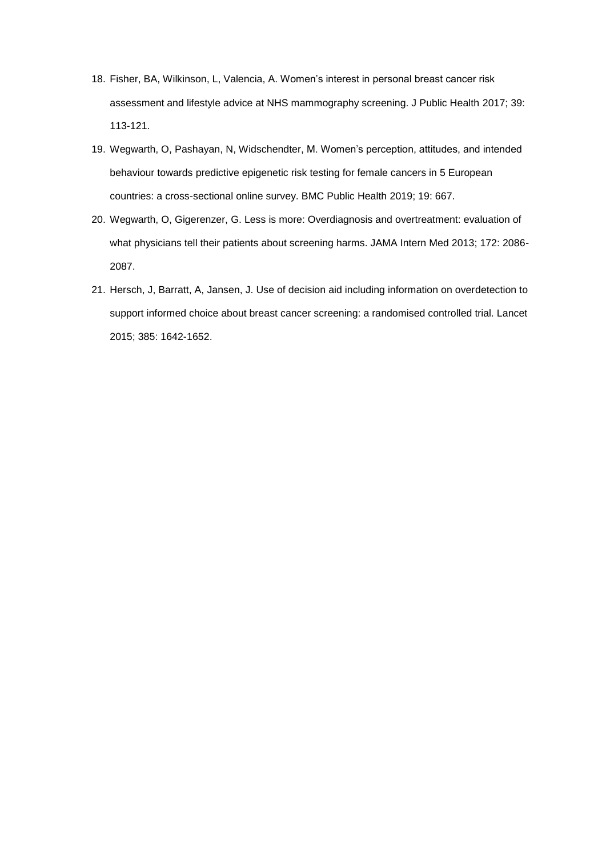- 18. Fisher, BA, Wilkinson, L, Valencia, A. Women's interest in personal breast cancer risk assessment and lifestyle advice at NHS mammography screening. J Public Health 2017; 39: 113-121.
- 19. Wegwarth, O, Pashayan, N, Widschendter, M. Women's perception, attitudes, and intended behaviour towards predictive epigenetic risk testing for female cancers in 5 European countries: a cross-sectional online survey. BMC Public Health 2019; 19: 667.
- 20. Wegwarth, O, Gigerenzer, G. Less is more: Overdiagnosis and overtreatment: evaluation of what physicians tell their patients about screening harms. JAMA Intern Med 2013; 172: 2086- 2087.
- 21. Hersch, J, Barratt, A, Jansen, J. Use of decision aid including information on overdetection to support informed choice about breast cancer screening: a randomised controlled trial. Lancet 2015; 385: 1642-1652.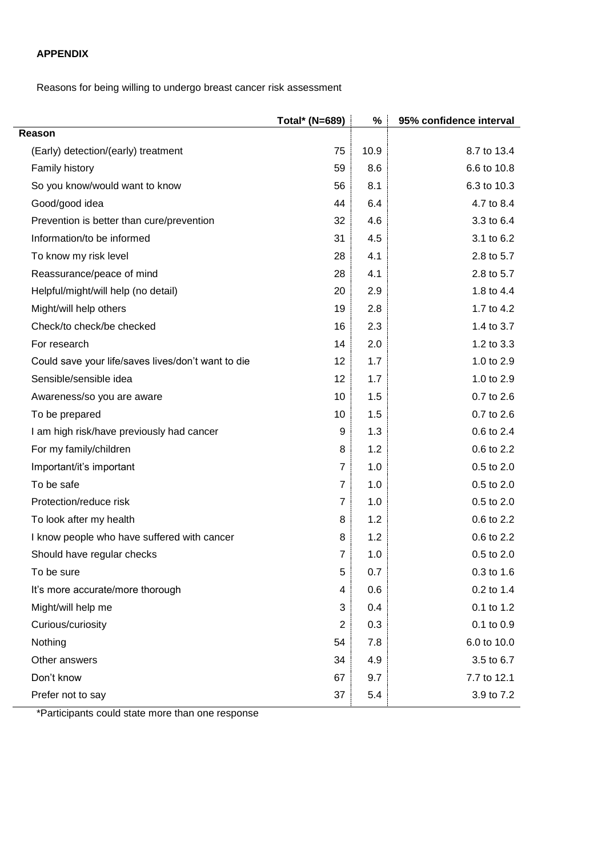# **APPENDIX**

Reasons for being willing to undergo breast cancer risk assessment

|                                                    | Total* (N=689) | %    | 95% confidence interval |
|----------------------------------------------------|----------------|------|-------------------------|
| Reason                                             |                |      |                         |
| (Early) detection/(early) treatment                | 75             | 10.9 | 8.7 to 13.4             |
| Family history                                     | 59             | 8.6  | 6.6 to 10.8             |
| So you know/would want to know                     | 56             | 8.1  | 6.3 to 10.3             |
| Good/good idea                                     | 44             | 6.4  | 4.7 to 8.4              |
| Prevention is better than cure/prevention          | 32             | 4.6  | 3.3 to 6.4              |
| Information/to be informed                         | 31             | 4.5  | 3.1 to 6.2              |
| To know my risk level                              | 28             | 4.1  | 2.8 to 5.7              |
| Reassurance/peace of mind                          | 28             | 4.1  | 2.8 to 5.7              |
| Helpful/might/will help (no detail)                | 20             | 2.9  | 1.8 to 4.4              |
| Might/will help others                             | 19             | 2.8  | 1.7 to 4.2              |
| Check/to check/be checked                          | 16             | 2.3  | 1.4 to 3.7              |
| For research                                       | 14             | 2.0  | 1.2 to 3.3              |
| Could save your life/saves lives/don't want to die | 12             | 1.7  | 1.0 to 2.9              |
| Sensible/sensible idea                             | 12             | 1.7  | 1.0 to 2.9              |
| Awareness/so you are aware                         | 10             | 1.5  | 0.7 to 2.6              |
| To be prepared                                     | 10             | 1.5  | 0.7 to 2.6              |
| I am high risk/have previously had cancer          | 9              | 1.3  | 0.6 to 2.4              |
| For my family/children                             | 8              | 1.2  | 0.6 to 2.2              |
| Important/it's important                           | 7              | 1.0  | 0.5 to 2.0              |
| To be safe                                         | $\overline{7}$ | 1.0  | 0.5 to 2.0              |
| Protection/reduce risk                             | 7              | 1.0  | $0.5$ to $2.0$          |
| To look after my health                            | 8              | 1.2  | 0.6 to 2.2              |
| I know people who have suffered with cancer        | 8              | 1.2  | 0.6 to 2.2              |
| Should have regular checks                         | 7              | 1.0  | 0.5 to 2.0              |
| To be sure                                         | 5              | 0.7  | 0.3 to 1.6              |
| It's more accurate/more thorough                   | 4              | 0.6  | 0.2 to 1.4              |
| Might/will help me                                 | 3              | 0.4  | 0.1 to 1.2              |
| Curious/curiosity                                  | 2              | 0.3  | 0.1 to 0.9              |
| Nothing                                            | 54             | 7.8  | 6.0 to 10.0             |
| Other answers                                      | 34             | 4.9  | 3.5 to 6.7              |
| Don't know                                         | 67             | 9.7  | 7.7 to 12.1             |
| Prefer not to say                                  | 37             | 5.4  | 3.9 to 7.2              |

\*Participants could state more than one response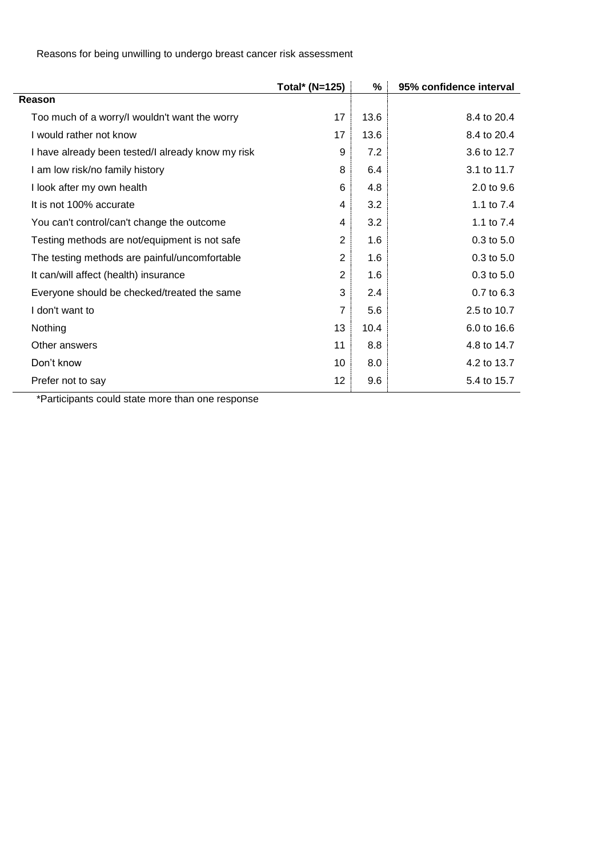Reasons for being unwilling to undergo breast cancer risk assessment

|                                                              | Total* (N=125) | %    | 95% confidence interval |
|--------------------------------------------------------------|----------------|------|-------------------------|
| Reason                                                       |                |      |                         |
| Too much of a worry/I wouldn't want the worry                | 17             | 13.6 | 8.4 to 20.4             |
| I would rather not know                                      | 17             | 13.6 | 8.4 to 20.4             |
| I have already been tested/I already know my risk            | 9              | 7.2  | 3.6 to 12.7             |
| I am low risk/no family history                              | 8              | 6.4  | 3.1 to 11.7             |
| I look after my own health                                   | 6              | 4.8  | 2.0 to 9.6              |
| It is not 100% accurate                                      | 4              | 3.2  | 1.1 to 7.4              |
| You can't control/can't change the outcome                   | 4              | 3.2  | 1.1 to 7.4              |
| Testing methods are not/equipment is not safe                | $\overline{2}$ | 1.6  | 0.3 to 5.0              |
| The testing methods are painful/uncomfortable                | $\overline{2}$ | 1.6  | 0.3 to 5.0              |
| It can/will affect (health) insurance                        | $\overline{2}$ | 1.6  | 0.3 to 5.0              |
| Everyone should be checked/treated the same                  | 3              | 2.4  | 0.7 to 6.3              |
| I don't want to                                              | 7              | 5.6  | 2.5 to 10.7             |
| Nothing                                                      | 13             | 10.4 | 6.0 to 16.6             |
| Other answers                                                | 11             | 8.8  | 4.8 to 14.7             |
| Don't know                                                   | 10             | 8.0  | 4.2 to 13.7             |
| Prefer not to say<br>*Deutsie ente een de eteten<br>د حاله - | 12             | 9.6  | 5.4 to 15.7             |

\*Participants could state more than one response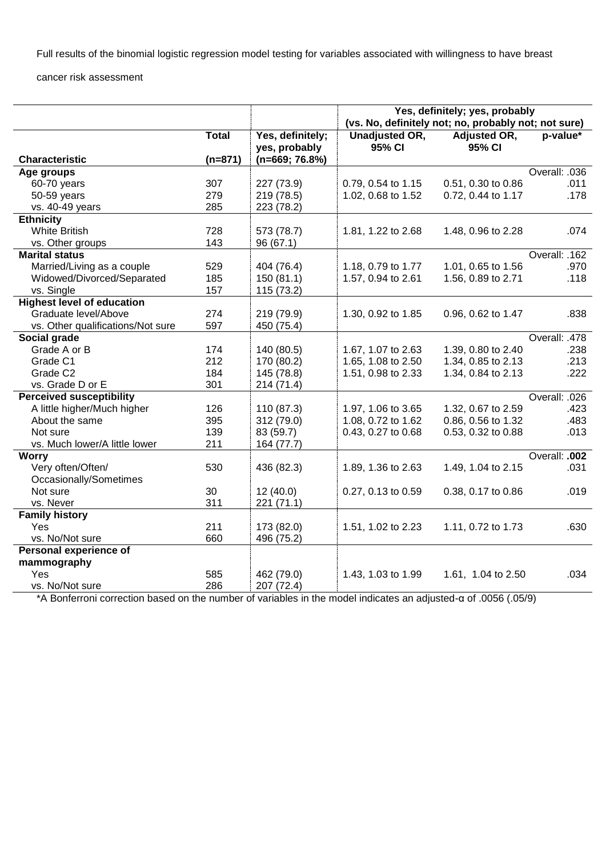Full results of the binomial logistic regression model testing for variables associated with willingness to have breast

cancer risk assessment

|                                   |              |                                   | Yes, definitely; yes, probably<br>(vs. No, definitely not; no, probably not; not sure) |                               |               |
|-----------------------------------|--------------|-----------------------------------|----------------------------------------------------------------------------------------|-------------------------------|---------------|
|                                   | <b>Total</b> | Yes, definitely;<br>yes, probably | <b>Unadjusted OR,</b><br>95% CI                                                        | <b>Adjusted OR,</b><br>95% CI | p-value*      |
| <b>Characteristic</b>             | $(n=871)$    | $(n=669; 76.8%)$                  |                                                                                        |                               |               |
| Age groups                        |              |                                   |                                                                                        |                               | Overall: .036 |
| 60-70 years                       | 307          | 227 (73.9)                        | 0.79, 0.54 to 1.15                                                                     | 0.51, 0.30 to 0.86            | .011          |
| 50-59 years                       | 279          | 219 (78.5)                        | 1.02, 0.68 to 1.52                                                                     | 0.72, 0.44 to 1.17            | .178          |
| vs. 40-49 years                   | 285          | 223 (78.2)                        |                                                                                        |                               |               |
| <b>Ethnicity</b>                  |              |                                   |                                                                                        |                               |               |
| <b>White British</b>              | 728          | 573 (78.7)                        | 1.81, 1.22 to 2.68                                                                     | 1.48, 0.96 to 2.28            | .074          |
| vs. Other groups                  | 143          | 96 (67.1)                         |                                                                                        |                               |               |
| <b>Marital status</b>             |              |                                   |                                                                                        |                               | Overall: .162 |
| Married/Living as a couple        | 529          | 404 (76.4)                        | 1.18, 0.79 to 1.77                                                                     | 1.01, 0.65 to 1.56            | .970          |
| Widowed/Divorced/Separated        | 185          | 150 (81.1)                        | 1.57, 0.94 to 2.61                                                                     | 1.56, 0.89 to 2.71            | .118          |
| vs. Single                        | 157          | 115 (73.2)                        |                                                                                        |                               |               |
| <b>Highest level of education</b> |              |                                   |                                                                                        |                               |               |
| Graduate level/Above              | 274          | 219 (79.9)                        | 1.30, 0.92 to 1.85                                                                     | 0.96, 0.62 to 1.47            | .838          |
| vs. Other qualifications/Not sure | 597          | 450 (75.4)                        |                                                                                        |                               |               |
| Social grade                      |              |                                   |                                                                                        |                               | Overall: .478 |
| Grade A or B                      | 174          | 140 (80.5)                        | 1.67, 1.07 to 2.63                                                                     | 1.39, 0.80 to 2.40            | .238          |
| Grade C1                          | 212          | 170 (80.2)                        | 1.65, 1.08 to 2.50                                                                     | 1.34, 0.85 to 2.13            | .213          |
| Grade C <sub>2</sub>              | 184          | 145 (78.8)                        | 1.51, 0.98 to 2.33                                                                     | 1.34, 0.84 to 2.13            | .222          |
| vs. Grade D or E                  | 301          | 214 (71.4)                        |                                                                                        |                               |               |
| <b>Perceived susceptibility</b>   |              |                                   |                                                                                        |                               | Overall: .026 |
| A little higher/Much higher       | 126          | 110 (87.3)                        | 1.97, 1.06 to 3.65                                                                     | 1.32, 0.67 to 2.59            | .423          |
| About the same                    | 395          | 312 (79.0)                        | 1.08, 0.72 to 1.62                                                                     | 0.86, 0.56 to 1.32            | .483          |
| Not sure                          | 139          | 83 (59.7)                         | 0.43, 0.27 to 0.68                                                                     | 0.53, 0.32 to 0.88            | .013          |
| vs. Much lower/A little lower     | 211          | 164 (77.7)                        |                                                                                        |                               |               |
| <b>Worry</b>                      |              |                                   |                                                                                        |                               | Overall: .002 |
| Very often/Often/                 | 530          | 436 (82.3)                        | 1.89, 1.36 to 2.63                                                                     | 1.49, 1.04 to 2.15            | .031          |
| Occasionally/Sometimes            |              |                                   |                                                                                        |                               |               |
| Not sure                          | 30           | 12(40.0)                          | 0.27, 0.13 to 0.59                                                                     | 0.38, 0.17 to 0.86            | .019          |
| vs. Never                         | 311          | 221 (71.1)                        |                                                                                        |                               |               |
| <b>Family history</b>             |              |                                   |                                                                                        |                               |               |
| Yes                               | 211          | 173 (82.0)                        | 1.51, 1.02 to 2.23                                                                     | 1.11, 0.72 to 1.73            | .630          |
| vs. No/Not sure                   | 660          | 496 (75.2)                        |                                                                                        |                               |               |
| Personal experience of            |              |                                   |                                                                                        |                               |               |
| mammography                       |              |                                   |                                                                                        |                               |               |
| Yes                               | 585          | 462 (79.0)                        | 1.43, 1.03 to 1.99                                                                     | 1.61, 1.04 to 2.50            | .034          |
| vs. No/Not sure                   | 286          | 207 (72.4)                        |                                                                                        |                               |               |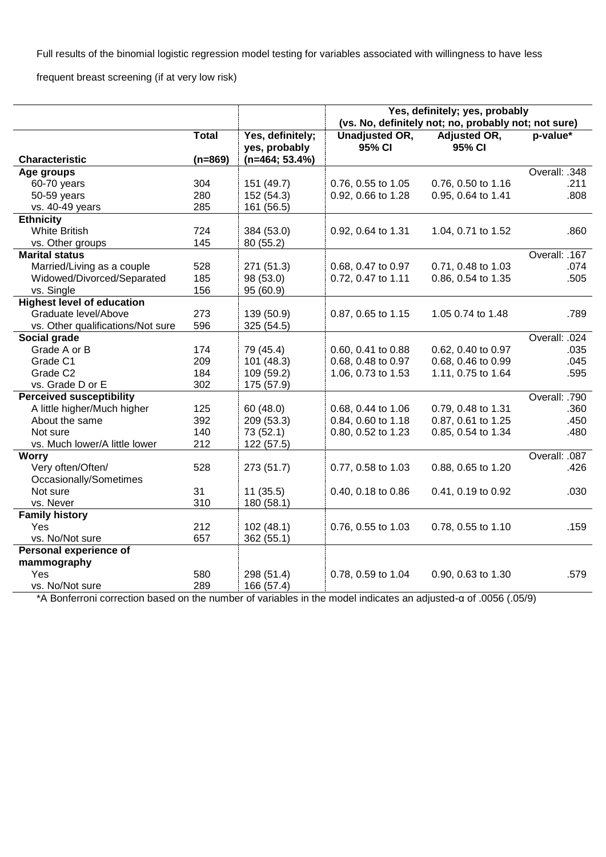Full results of the binomial logistic regression model testing for variables associated with willingness to have less

frequent breast screening (if at very low risk)

| (vs. No, definitely not; no, probably not; not sure)<br><b>Total</b><br>Yes, definitely;<br><b>Unadjusted OR,</b><br>Adjusted OR,<br>p-value*<br>95% CI<br>95% CI<br>yes, probably<br><b>Characteristic</b><br>$(n=464; 53.4%)$<br>$(n=869)$<br>Overall: .348<br>Age groups<br>60-70 years<br>304<br>151 (49.7)<br>0.76, 0.55 to 1.05<br>0.76, 0.50 to 1.16<br>.211<br>280<br>50-59 years<br>152 (54.3)<br>0.92, 0.66 to 1.28<br>0.95, 0.64 to 1.41<br>.808<br>285<br>vs. 40-49 years<br>161 (56.5)<br><b>Ethnicity</b><br><b>White British</b><br>724<br>384 (53.0)<br>0.92, 0.64 to 1.31<br>1.04, 0.71 to 1.52<br>.860<br>145<br>vs. Other groups<br>80 (55.2)<br>Overall: .167<br><b>Marital status</b><br>Married/Living as a couple<br>528<br>271 (51.3)<br>0.68, 0.47 to 0.97<br>0.71, 0.48 to 1.03<br>.074<br>Widowed/Divorced/Separated<br>185<br>98 (53.0)<br>0.72, 0.47 to 1.11<br>0.86, 0.54 to 1.35<br>.505<br>vs. Single<br>156<br>95 (60.9)<br><b>Highest level of education</b><br>Graduate level/Above<br>273<br>139 (50.9)<br>0.87, 0.65 to 1.15<br>1.05 0.74 to 1.48<br>.789<br>596<br>vs. Other qualifications/Not sure<br>325 (54.5)<br>Social grade<br>Overall: .024<br>Grade A or B<br>174<br>79 (45.4)<br>0.60, 0.41 to 0.88<br>0.62, 0.40 to 0.97<br>.035<br>Grade C1<br>209<br>101 (48.3)<br>0.68, 0.48 to 0.97<br>0.68, 0.46 to 0.99<br>.045<br>Grade C2<br>184<br>109 (59.2)<br>1.06, 0.73 to 1.53<br>1.11, 0.75 to 1.64<br>.595<br>302<br>vs. Grade D or E<br>175 (57.9)<br>Overall: .790<br><b>Perceived susceptibility</b><br>A little higher/Much higher<br>125<br>60 (48.0)<br>0.68, 0.44 to 1.06<br>0.79, 0.48 to 1.31<br>.360<br>392<br>About the same<br>209 (53.3)<br>0.84, 0.60 to 1.18<br>0.87, 0.61 to 1.25<br>.450<br>Not sure<br>140<br>0.80, 0.52 to 1.23<br>0.85, 0.54 to 1.34<br>.480<br>73 (52.1)<br>vs. Much lower/A little lower<br>212<br>122 (57.5)<br><b>Worry</b><br>Overall: .087<br>Very often/Often/<br>528<br>273 (51.7)<br>0.77, 0.58 to 1.03<br>0.88, 0.65 to 1.20<br>.426<br>Occasionally/Sometimes<br>31<br>Not sure<br>11(35.5)<br>0.40, 0.18 to 0.86<br>0.41, 0.19 to 0.92<br>.030<br>310<br>vs. Never<br>180 (58.1)<br><b>Family history</b><br>Yes<br>212<br>102(48.1)<br>0.76, 0.55 to 1.03<br>0.78, 0.55 to 1.10<br>.159<br>vs. No/Not sure<br>657<br>362 (55.1)<br>Personal experience of<br>mammography<br>Yes<br>580<br>298 (51.4)<br>0.78, 0.59 to 1.04<br>0.90, 0.63 to 1.30<br>.579 |  | Yes, definitely; yes, probably |  |  |  |
|------------------------------------------------------------------------------------------------------------------------------------------------------------------------------------------------------------------------------------------------------------------------------------------------------------------------------------------------------------------------------------------------------------------------------------------------------------------------------------------------------------------------------------------------------------------------------------------------------------------------------------------------------------------------------------------------------------------------------------------------------------------------------------------------------------------------------------------------------------------------------------------------------------------------------------------------------------------------------------------------------------------------------------------------------------------------------------------------------------------------------------------------------------------------------------------------------------------------------------------------------------------------------------------------------------------------------------------------------------------------------------------------------------------------------------------------------------------------------------------------------------------------------------------------------------------------------------------------------------------------------------------------------------------------------------------------------------------------------------------------------------------------------------------------------------------------------------------------------------------------------------------------------------------------------------------------------------------------------------------------------------------------------------------------------------------------------------------------------------------------------------------------------------------------------------------------------------------------------------------------------------------------------------------------------------------------------------------------------------------------------------------------------------------------------------------------------------|--|--------------------------------|--|--|--|
|                                                                                                                                                                                                                                                                                                                                                                                                                                                                                                                                                                                                                                                                                                                                                                                                                                                                                                                                                                                                                                                                                                                                                                                                                                                                                                                                                                                                                                                                                                                                                                                                                                                                                                                                                                                                                                                                                                                                                                                                                                                                                                                                                                                                                                                                                                                                                                                                                                                            |  |                                |  |  |  |
|                                                                                                                                                                                                                                                                                                                                                                                                                                                                                                                                                                                                                                                                                                                                                                                                                                                                                                                                                                                                                                                                                                                                                                                                                                                                                                                                                                                                                                                                                                                                                                                                                                                                                                                                                                                                                                                                                                                                                                                                                                                                                                                                                                                                                                                                                                                                                                                                                                                            |  |                                |  |  |  |
|                                                                                                                                                                                                                                                                                                                                                                                                                                                                                                                                                                                                                                                                                                                                                                                                                                                                                                                                                                                                                                                                                                                                                                                                                                                                                                                                                                                                                                                                                                                                                                                                                                                                                                                                                                                                                                                                                                                                                                                                                                                                                                                                                                                                                                                                                                                                                                                                                                                            |  |                                |  |  |  |
|                                                                                                                                                                                                                                                                                                                                                                                                                                                                                                                                                                                                                                                                                                                                                                                                                                                                                                                                                                                                                                                                                                                                                                                                                                                                                                                                                                                                                                                                                                                                                                                                                                                                                                                                                                                                                                                                                                                                                                                                                                                                                                                                                                                                                                                                                                                                                                                                                                                            |  |                                |  |  |  |
|                                                                                                                                                                                                                                                                                                                                                                                                                                                                                                                                                                                                                                                                                                                                                                                                                                                                                                                                                                                                                                                                                                                                                                                                                                                                                                                                                                                                                                                                                                                                                                                                                                                                                                                                                                                                                                                                                                                                                                                                                                                                                                                                                                                                                                                                                                                                                                                                                                                            |  |                                |  |  |  |
|                                                                                                                                                                                                                                                                                                                                                                                                                                                                                                                                                                                                                                                                                                                                                                                                                                                                                                                                                                                                                                                                                                                                                                                                                                                                                                                                                                                                                                                                                                                                                                                                                                                                                                                                                                                                                                                                                                                                                                                                                                                                                                                                                                                                                                                                                                                                                                                                                                                            |  |                                |  |  |  |
|                                                                                                                                                                                                                                                                                                                                                                                                                                                                                                                                                                                                                                                                                                                                                                                                                                                                                                                                                                                                                                                                                                                                                                                                                                                                                                                                                                                                                                                                                                                                                                                                                                                                                                                                                                                                                                                                                                                                                                                                                                                                                                                                                                                                                                                                                                                                                                                                                                                            |  |                                |  |  |  |
|                                                                                                                                                                                                                                                                                                                                                                                                                                                                                                                                                                                                                                                                                                                                                                                                                                                                                                                                                                                                                                                                                                                                                                                                                                                                                                                                                                                                                                                                                                                                                                                                                                                                                                                                                                                                                                                                                                                                                                                                                                                                                                                                                                                                                                                                                                                                                                                                                                                            |  |                                |  |  |  |
|                                                                                                                                                                                                                                                                                                                                                                                                                                                                                                                                                                                                                                                                                                                                                                                                                                                                                                                                                                                                                                                                                                                                                                                                                                                                                                                                                                                                                                                                                                                                                                                                                                                                                                                                                                                                                                                                                                                                                                                                                                                                                                                                                                                                                                                                                                                                                                                                                                                            |  |                                |  |  |  |
|                                                                                                                                                                                                                                                                                                                                                                                                                                                                                                                                                                                                                                                                                                                                                                                                                                                                                                                                                                                                                                                                                                                                                                                                                                                                                                                                                                                                                                                                                                                                                                                                                                                                                                                                                                                                                                                                                                                                                                                                                                                                                                                                                                                                                                                                                                                                                                                                                                                            |  |                                |  |  |  |
|                                                                                                                                                                                                                                                                                                                                                                                                                                                                                                                                                                                                                                                                                                                                                                                                                                                                                                                                                                                                                                                                                                                                                                                                                                                                                                                                                                                                                                                                                                                                                                                                                                                                                                                                                                                                                                                                                                                                                                                                                                                                                                                                                                                                                                                                                                                                                                                                                                                            |  |                                |  |  |  |
|                                                                                                                                                                                                                                                                                                                                                                                                                                                                                                                                                                                                                                                                                                                                                                                                                                                                                                                                                                                                                                                                                                                                                                                                                                                                                                                                                                                                                                                                                                                                                                                                                                                                                                                                                                                                                                                                                                                                                                                                                                                                                                                                                                                                                                                                                                                                                                                                                                                            |  |                                |  |  |  |
|                                                                                                                                                                                                                                                                                                                                                                                                                                                                                                                                                                                                                                                                                                                                                                                                                                                                                                                                                                                                                                                                                                                                                                                                                                                                                                                                                                                                                                                                                                                                                                                                                                                                                                                                                                                                                                                                                                                                                                                                                                                                                                                                                                                                                                                                                                                                                                                                                                                            |  |                                |  |  |  |
|                                                                                                                                                                                                                                                                                                                                                                                                                                                                                                                                                                                                                                                                                                                                                                                                                                                                                                                                                                                                                                                                                                                                                                                                                                                                                                                                                                                                                                                                                                                                                                                                                                                                                                                                                                                                                                                                                                                                                                                                                                                                                                                                                                                                                                                                                                                                                                                                                                                            |  |                                |  |  |  |
|                                                                                                                                                                                                                                                                                                                                                                                                                                                                                                                                                                                                                                                                                                                                                                                                                                                                                                                                                                                                                                                                                                                                                                                                                                                                                                                                                                                                                                                                                                                                                                                                                                                                                                                                                                                                                                                                                                                                                                                                                                                                                                                                                                                                                                                                                                                                                                                                                                                            |  |                                |  |  |  |
|                                                                                                                                                                                                                                                                                                                                                                                                                                                                                                                                                                                                                                                                                                                                                                                                                                                                                                                                                                                                                                                                                                                                                                                                                                                                                                                                                                                                                                                                                                                                                                                                                                                                                                                                                                                                                                                                                                                                                                                                                                                                                                                                                                                                                                                                                                                                                                                                                                                            |  |                                |  |  |  |
|                                                                                                                                                                                                                                                                                                                                                                                                                                                                                                                                                                                                                                                                                                                                                                                                                                                                                                                                                                                                                                                                                                                                                                                                                                                                                                                                                                                                                                                                                                                                                                                                                                                                                                                                                                                                                                                                                                                                                                                                                                                                                                                                                                                                                                                                                                                                                                                                                                                            |  |                                |  |  |  |
|                                                                                                                                                                                                                                                                                                                                                                                                                                                                                                                                                                                                                                                                                                                                                                                                                                                                                                                                                                                                                                                                                                                                                                                                                                                                                                                                                                                                                                                                                                                                                                                                                                                                                                                                                                                                                                                                                                                                                                                                                                                                                                                                                                                                                                                                                                                                                                                                                                                            |  |                                |  |  |  |
|                                                                                                                                                                                                                                                                                                                                                                                                                                                                                                                                                                                                                                                                                                                                                                                                                                                                                                                                                                                                                                                                                                                                                                                                                                                                                                                                                                                                                                                                                                                                                                                                                                                                                                                                                                                                                                                                                                                                                                                                                                                                                                                                                                                                                                                                                                                                                                                                                                                            |  |                                |  |  |  |
|                                                                                                                                                                                                                                                                                                                                                                                                                                                                                                                                                                                                                                                                                                                                                                                                                                                                                                                                                                                                                                                                                                                                                                                                                                                                                                                                                                                                                                                                                                                                                                                                                                                                                                                                                                                                                                                                                                                                                                                                                                                                                                                                                                                                                                                                                                                                                                                                                                                            |  |                                |  |  |  |
|                                                                                                                                                                                                                                                                                                                                                                                                                                                                                                                                                                                                                                                                                                                                                                                                                                                                                                                                                                                                                                                                                                                                                                                                                                                                                                                                                                                                                                                                                                                                                                                                                                                                                                                                                                                                                                                                                                                                                                                                                                                                                                                                                                                                                                                                                                                                                                                                                                                            |  |                                |  |  |  |
|                                                                                                                                                                                                                                                                                                                                                                                                                                                                                                                                                                                                                                                                                                                                                                                                                                                                                                                                                                                                                                                                                                                                                                                                                                                                                                                                                                                                                                                                                                                                                                                                                                                                                                                                                                                                                                                                                                                                                                                                                                                                                                                                                                                                                                                                                                                                                                                                                                                            |  |                                |  |  |  |
|                                                                                                                                                                                                                                                                                                                                                                                                                                                                                                                                                                                                                                                                                                                                                                                                                                                                                                                                                                                                                                                                                                                                                                                                                                                                                                                                                                                                                                                                                                                                                                                                                                                                                                                                                                                                                                                                                                                                                                                                                                                                                                                                                                                                                                                                                                                                                                                                                                                            |  |                                |  |  |  |
|                                                                                                                                                                                                                                                                                                                                                                                                                                                                                                                                                                                                                                                                                                                                                                                                                                                                                                                                                                                                                                                                                                                                                                                                                                                                                                                                                                                                                                                                                                                                                                                                                                                                                                                                                                                                                                                                                                                                                                                                                                                                                                                                                                                                                                                                                                                                                                                                                                                            |  |                                |  |  |  |
|                                                                                                                                                                                                                                                                                                                                                                                                                                                                                                                                                                                                                                                                                                                                                                                                                                                                                                                                                                                                                                                                                                                                                                                                                                                                                                                                                                                                                                                                                                                                                                                                                                                                                                                                                                                                                                                                                                                                                                                                                                                                                                                                                                                                                                                                                                                                                                                                                                                            |  |                                |  |  |  |
|                                                                                                                                                                                                                                                                                                                                                                                                                                                                                                                                                                                                                                                                                                                                                                                                                                                                                                                                                                                                                                                                                                                                                                                                                                                                                                                                                                                                                                                                                                                                                                                                                                                                                                                                                                                                                                                                                                                                                                                                                                                                                                                                                                                                                                                                                                                                                                                                                                                            |  |                                |  |  |  |
|                                                                                                                                                                                                                                                                                                                                                                                                                                                                                                                                                                                                                                                                                                                                                                                                                                                                                                                                                                                                                                                                                                                                                                                                                                                                                                                                                                                                                                                                                                                                                                                                                                                                                                                                                                                                                                                                                                                                                                                                                                                                                                                                                                                                                                                                                                                                                                                                                                                            |  |                                |  |  |  |
|                                                                                                                                                                                                                                                                                                                                                                                                                                                                                                                                                                                                                                                                                                                                                                                                                                                                                                                                                                                                                                                                                                                                                                                                                                                                                                                                                                                                                                                                                                                                                                                                                                                                                                                                                                                                                                                                                                                                                                                                                                                                                                                                                                                                                                                                                                                                                                                                                                                            |  |                                |  |  |  |
|                                                                                                                                                                                                                                                                                                                                                                                                                                                                                                                                                                                                                                                                                                                                                                                                                                                                                                                                                                                                                                                                                                                                                                                                                                                                                                                                                                                                                                                                                                                                                                                                                                                                                                                                                                                                                                                                                                                                                                                                                                                                                                                                                                                                                                                                                                                                                                                                                                                            |  |                                |  |  |  |
|                                                                                                                                                                                                                                                                                                                                                                                                                                                                                                                                                                                                                                                                                                                                                                                                                                                                                                                                                                                                                                                                                                                                                                                                                                                                                                                                                                                                                                                                                                                                                                                                                                                                                                                                                                                                                                                                                                                                                                                                                                                                                                                                                                                                                                                                                                                                                                                                                                                            |  |                                |  |  |  |
|                                                                                                                                                                                                                                                                                                                                                                                                                                                                                                                                                                                                                                                                                                                                                                                                                                                                                                                                                                                                                                                                                                                                                                                                                                                                                                                                                                                                                                                                                                                                                                                                                                                                                                                                                                                                                                                                                                                                                                                                                                                                                                                                                                                                                                                                                                                                                                                                                                                            |  |                                |  |  |  |
|                                                                                                                                                                                                                                                                                                                                                                                                                                                                                                                                                                                                                                                                                                                                                                                                                                                                                                                                                                                                                                                                                                                                                                                                                                                                                                                                                                                                                                                                                                                                                                                                                                                                                                                                                                                                                                                                                                                                                                                                                                                                                                                                                                                                                                                                                                                                                                                                                                                            |  |                                |  |  |  |
|                                                                                                                                                                                                                                                                                                                                                                                                                                                                                                                                                                                                                                                                                                                                                                                                                                                                                                                                                                                                                                                                                                                                                                                                                                                                                                                                                                                                                                                                                                                                                                                                                                                                                                                                                                                                                                                                                                                                                                                                                                                                                                                                                                                                                                                                                                                                                                                                                                                            |  |                                |  |  |  |
|                                                                                                                                                                                                                                                                                                                                                                                                                                                                                                                                                                                                                                                                                                                                                                                                                                                                                                                                                                                                                                                                                                                                                                                                                                                                                                                                                                                                                                                                                                                                                                                                                                                                                                                                                                                                                                                                                                                                                                                                                                                                                                                                                                                                                                                                                                                                                                                                                                                            |  |                                |  |  |  |
|                                                                                                                                                                                                                                                                                                                                                                                                                                                                                                                                                                                                                                                                                                                                                                                                                                                                                                                                                                                                                                                                                                                                                                                                                                                                                                                                                                                                                                                                                                                                                                                                                                                                                                                                                                                                                                                                                                                                                                                                                                                                                                                                                                                                                                                                                                                                                                                                                                                            |  |                                |  |  |  |
|                                                                                                                                                                                                                                                                                                                                                                                                                                                                                                                                                                                                                                                                                                                                                                                                                                                                                                                                                                                                                                                                                                                                                                                                                                                                                                                                                                                                                                                                                                                                                                                                                                                                                                                                                                                                                                                                                                                                                                                                                                                                                                                                                                                                                                                                                                                                                                                                                                                            |  |                                |  |  |  |
|                                                                                                                                                                                                                                                                                                                                                                                                                                                                                                                                                                                                                                                                                                                                                                                                                                                                                                                                                                                                                                                                                                                                                                                                                                                                                                                                                                                                                                                                                                                                                                                                                                                                                                                                                                                                                                                                                                                                                                                                                                                                                                                                                                                                                                                                                                                                                                                                                                                            |  |                                |  |  |  |
|                                                                                                                                                                                                                                                                                                                                                                                                                                                                                                                                                                                                                                                                                                                                                                                                                                                                                                                                                                                                                                                                                                                                                                                                                                                                                                                                                                                                                                                                                                                                                                                                                                                                                                                                                                                                                                                                                                                                                                                                                                                                                                                                                                                                                                                                                                                                                                                                                                                            |  |                                |  |  |  |
|                                                                                                                                                                                                                                                                                                                                                                                                                                                                                                                                                                                                                                                                                                                                                                                                                                                                                                                                                                                                                                                                                                                                                                                                                                                                                                                                                                                                                                                                                                                                                                                                                                                                                                                                                                                                                                                                                                                                                                                                                                                                                                                                                                                                                                                                                                                                                                                                                                                            |  |                                |  |  |  |
| vs. No/Not sure<br>289<br>166 (57.4)                                                                                                                                                                                                                                                                                                                                                                                                                                                                                                                                                                                                                                                                                                                                                                                                                                                                                                                                                                                                                                                                                                                                                                                                                                                                                                                                                                                                                                                                                                                                                                                                                                                                                                                                                                                                                                                                                                                                                                                                                                                                                                                                                                                                                                                                                                                                                                                                                       |  |                                |  |  |  |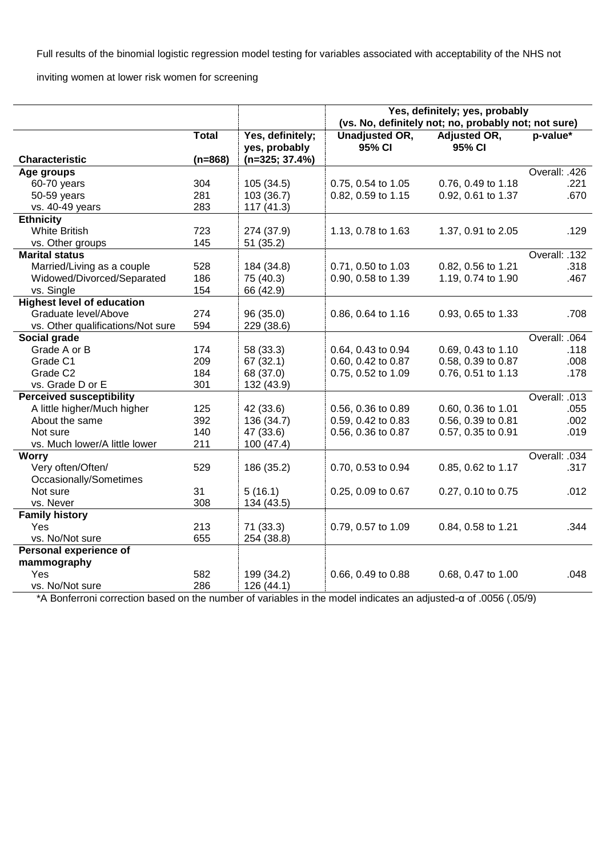Full results of the binomial logistic regression model testing for variables associated with acceptability of the NHS not

inviting women at lower risk women for screening

|                                   |              |                                   | Yes, definitely; yes, probably<br>(vs. No, definitely not; no, probably not; not sure) |                        |               |  |
|-----------------------------------|--------------|-----------------------------------|----------------------------------------------------------------------------------------|------------------------|---------------|--|
|                                   | <b>Total</b> | Yes, definitely;<br>yes, probably | Unadjusted OR,<br>95% CI                                                               | Adjusted OR,<br>95% CI | p-value*      |  |
| <b>Characteristic</b>             | $(n=868)$    | $(n=325; 37.4%)$                  |                                                                                        |                        |               |  |
| Age groups                        |              |                                   |                                                                                        |                        | Overall: .426 |  |
| 60-70 years                       | 304          | 105 (34.5)                        | 0.75, 0.54 to 1.05                                                                     | 0.76, 0.49 to 1.18     | .221          |  |
| 50-59 years                       | 281          | 103 (36.7)                        | 0.82, 0.59 to 1.15                                                                     | 0.92, 0.61 to 1.37     | .670          |  |
| vs. 40-49 years                   | 283          | 117(41.3)                         |                                                                                        |                        |               |  |
| <b>Ethnicity</b>                  |              |                                   |                                                                                        |                        |               |  |
| <b>White British</b>              | 723          | 274 (37.9)                        | 1.13, 0.78 to 1.63                                                                     | 1.37, 0.91 to 2.05     | .129          |  |
| vs. Other groups                  | 145          | 51 (35.2)                         |                                                                                        |                        |               |  |
| <b>Marital status</b>             |              |                                   |                                                                                        |                        | Overall: .132 |  |
| Married/Living as a couple        | 528          | 184 (34.8)                        | 0.71, 0.50 to 1.03                                                                     | 0.82, 0.56 to 1.21     | .318          |  |
| Widowed/Divorced/Separated        | 186          | 75 (40.3)                         | 0.90, 0.58 to 1.39                                                                     | 1.19, 0.74 to 1.90     | .467          |  |
| vs. Single                        | 154          | 66 (42.9)                         |                                                                                        |                        |               |  |
| <b>Highest level of education</b> |              |                                   |                                                                                        |                        |               |  |
| Graduate level/Above              | 274          | 96(35.0)                          | 0.86, 0.64 to 1.16                                                                     | 0.93, 0.65 to 1.33     | .708          |  |
| vs. Other qualifications/Not sure | 594          | 229 (38.6)                        |                                                                                        |                        |               |  |
| Social grade                      |              |                                   |                                                                                        |                        | Overall: .064 |  |
| Grade A or B                      | 174          | 58 (33.3)                         | 0.64, 0.43 to 0.94                                                                     | 0.69, 0.43 to 1.10     | .118          |  |
| Grade C1                          | 209          | 67 (32.1)                         | 0.60, 0.42 to 0.87                                                                     | 0.58, 0.39 to 0.87     | .008          |  |
| Grade C <sub>2</sub>              | 184          | 68 (37.0)                         | 0.75, 0.52 to 1.09                                                                     | 0.76, 0.51 to 1.13     | .178          |  |
| vs. Grade D or E                  | 301          | 132 (43.9)                        |                                                                                        |                        |               |  |
| <b>Perceived susceptibility</b>   |              |                                   |                                                                                        |                        | Overall: .013 |  |
| A little higher/Much higher       | 125          | 42 (33.6)                         | 0.56, 0.36 to 0.89                                                                     | 0.60, 0.36 to 1.01     | .055          |  |
| About the same                    | 392          | 136 (34.7)                        | 0.59, 0.42 to 0.83                                                                     | 0.56, 0.39 to 0.81     | .002          |  |
| Not sure                          | 140          | 47 (33.6)                         | 0.56, 0.36 to 0.87                                                                     | 0.57, 0.35 to 0.91     | .019          |  |
| vs. Much lower/A little lower     | 211          | 100 (47.4)                        |                                                                                        |                        |               |  |
| <b>Worry</b>                      |              |                                   |                                                                                        |                        | Overall: .034 |  |
| Very often/Often/                 | 529          | 186 (35.2)                        | 0.70, 0.53 to 0.94                                                                     | 0.85, 0.62 to 1.17     | .317          |  |
| Occasionally/Sometimes            |              |                                   |                                                                                        |                        |               |  |
| Not sure                          | 31           | 5(16.1)                           | 0.25, 0.09 to 0.67                                                                     | 0.27, 0.10 to 0.75     | .012          |  |
| vs. Never                         | 308          | 134 (43.5)                        |                                                                                        |                        |               |  |
| <b>Family history</b>             |              |                                   |                                                                                        |                        |               |  |
| Yes                               | 213          | 71 (33.3)                         | 0.79, 0.57 to 1.09                                                                     | 0.84, 0.58 to 1.21     | .344          |  |
| vs. No/Not sure                   | 655          | 254 (38.8)                        |                                                                                        |                        |               |  |
| Personal experience of            |              |                                   |                                                                                        |                        |               |  |
| mammography                       |              |                                   |                                                                                        |                        |               |  |
| Yes                               | 582          | 199 (34.2)                        | 0.66, 0.49 to 0.88                                                                     | 0.68, 0.47 to 1.00     | .048          |  |
| vs. No/Not sure                   | 286          | 126 (44.1)                        |                                                                                        |                        |               |  |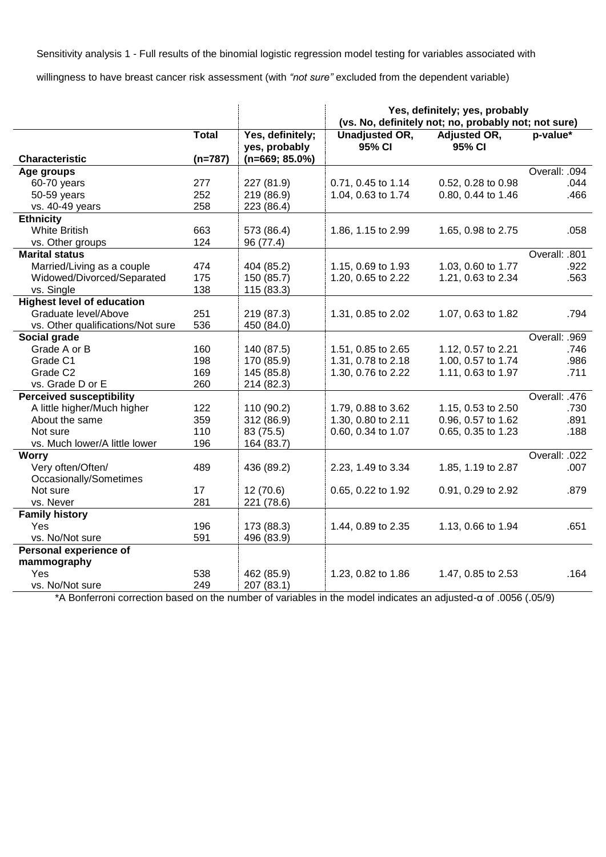Sensitivity analysis 1 - Full results of the binomial logistic regression model testing for variables associated with

willingness to have breast cancer risk assessment (with *"not sure"* excluded from the dependent variable)

|                                   |              |                                   | Yes, definitely; yes, probably<br>(vs. No, definitely not; no, probably not; not sure) |                        |               |
|-----------------------------------|--------------|-----------------------------------|----------------------------------------------------------------------------------------|------------------------|---------------|
|                                   | <b>Total</b> | Yes, definitely;<br>yes, probably | <b>Unadjusted OR,</b><br>95% CI                                                        | Adjusted OR,<br>95% CI | p-value*      |
| <b>Characteristic</b>             | $(n=787)$    | $(n=669; 85.0\%)$                 |                                                                                        |                        |               |
| Age groups                        |              |                                   |                                                                                        |                        | Overall: .094 |
| 60-70 years                       | 277          | 227 (81.9)                        | 0.71, 0.45 to 1.14                                                                     | 0.52, 0.28 to 0.98     | .044          |
| 50-59 years                       | 252          | 219 (86.9)                        | 1.04, 0.63 to 1.74                                                                     | 0.80, 0.44 to 1.46     | .466          |
| vs. 40-49 years                   | 258          | 223 (86.4)                        |                                                                                        |                        |               |
| <b>Ethnicity</b>                  |              |                                   |                                                                                        |                        |               |
| <b>White British</b>              | 663          | 573 (86.4)                        | 1.86, 1.15 to 2.99                                                                     | 1.65, 0.98 to 2.75     | .058          |
| vs. Other groups                  | 124          | 96 (77.4)                         |                                                                                        |                        |               |
| <b>Marital status</b>             |              |                                   |                                                                                        |                        | Overall: .801 |
| Married/Living as a couple        | 474          | 404 (85.2)                        | 1.15, 0.69 to 1.93                                                                     | 1.03, 0.60 to 1.77     | .922          |
| Widowed/Divorced/Separated        | 175          | 150 (85.7)                        | 1.20, 0.65 to 2.22                                                                     | 1.21, 0.63 to 2.34     | .563          |
| vs. Single                        | 138          | 115 (83.3)                        |                                                                                        |                        |               |
| <b>Highest level of education</b> |              |                                   |                                                                                        |                        |               |
| Graduate level/Above              | 251          | 219 (87.3)                        | 1.31, 0.85 to 2.02                                                                     | 1.07, 0.63 to 1.82     | .794          |
| vs. Other qualifications/Not sure | 536          | 450 (84.0)                        |                                                                                        |                        |               |
| Social grade                      |              |                                   |                                                                                        |                        | Overall: .969 |
| Grade A or B                      | 160          | 140 (87.5)                        | 1.51, 0.85 to 2.65                                                                     | 1.12, 0.57 to 2.21     | .746          |
| Grade C1                          | 198          | 170 (85.9)                        | 1.31, 0.78 to 2.18                                                                     | 1.00, 0.57 to 1.74     | .986          |
| Grade C <sub>2</sub>              | 169          | 145 (85.8)                        | 1.30, 0.76 to 2.22                                                                     | 1.11, 0.63 to 1.97     | .711          |
| vs. Grade D or E                  | 260          | 214 (82.3)                        |                                                                                        |                        |               |
| <b>Perceived susceptibility</b>   |              |                                   |                                                                                        |                        | Overall: .476 |
| A little higher/Much higher       | 122          | 110 (90.2)                        | 1.79, 0.88 to 3.62                                                                     | 1.15, 0.53 to 2.50     | .730          |
| About the same                    | 359          | 312 (86.9)                        | 1.30, 0.80 to 2.11                                                                     | 0.96, 0.57 to 1.62     | .891          |
| Not sure                          | 110          | 83 (75.5)                         | 0.60, 0.34 to 1.07                                                                     | 0.65, 0.35 to 1.23     | .188          |
| vs. Much lower/A little lower     | 196          | 164 (83.7)                        |                                                                                        |                        |               |
| <b>Worry</b>                      |              |                                   |                                                                                        |                        | Overall: .022 |
| Very often/Often/                 | 489          | 436 (89.2)                        | 2.23, 1.49 to 3.34                                                                     | 1.85, 1.19 to 2.87     | .007          |
| Occasionally/Sometimes            |              |                                   |                                                                                        |                        |               |
| Not sure                          | 17           | 12(70.6)                          | 0.65, 0.22 to 1.92                                                                     | 0.91, 0.29 to 2.92     | .879          |
| vs. Never                         | 281          | 221 (78.6)                        |                                                                                        |                        |               |
| <b>Family history</b>             |              |                                   |                                                                                        |                        |               |
| <b>Yes</b>                        | 196          | 173 (88.3)                        | 1.44, 0.89 to 2.35                                                                     | 1.13, 0.66 to 1.94     | .651          |
| vs. No/Not sure                   | 591          | 496 (83.9)                        |                                                                                        |                        |               |
| Personal experience of            |              |                                   |                                                                                        |                        |               |
| mammography                       |              |                                   |                                                                                        |                        |               |
| Yes                               | 538          | 462 (85.9)                        | 1.23, 0.82 to 1.86                                                                     | 1.47, 0.85 to 2.53     | .164          |
| vs. No/Not sure                   | 249          | 207 (83.1)                        |                                                                                        |                        |               |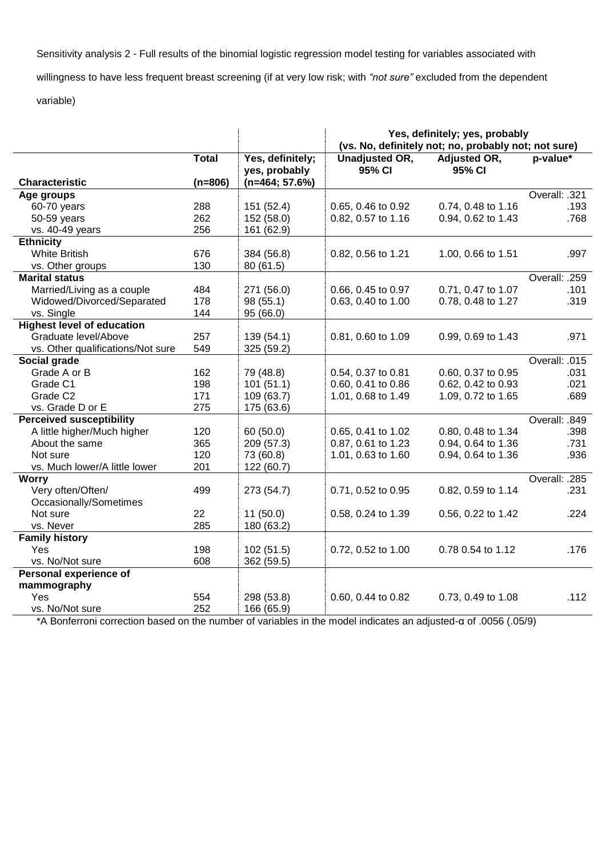Sensitivity analysis 2 - Full results of the binomial logistic regression model testing for variables associated with

willingness to have less frequent breast screening (if at very low risk; with *"not sure"* excluded from the dependent

## variable)

|                                   |              |                                   | Yes, definitely; yes, probably<br>(vs. No, definitely not; no, probably not; not sure) |                        |               |  |
|-----------------------------------|--------------|-----------------------------------|----------------------------------------------------------------------------------------|------------------------|---------------|--|
|                                   | <b>Total</b> | Yes, definitely;<br>yes, probably | <b>Unadjusted OR,</b><br>95% CI                                                        | Adjusted OR,<br>95% CI | p-value*      |  |
| <b>Characteristic</b>             | $(n=806)$    | $(n=464; 57.6%)$                  |                                                                                        |                        |               |  |
| Age groups                        |              |                                   |                                                                                        |                        | Overall: .321 |  |
| 60-70 years                       | 288          | 151 (52.4)                        | 0.65, 0.46 to 0.92                                                                     | 0.74, 0.48 to 1.16     | .193          |  |
| 50-59 years                       | 262          | 152 (58.0)                        | 0.82, 0.57 to 1.16                                                                     | 0.94, 0.62 to 1.43     | .768          |  |
| vs. 40-49 years                   | 256          | 161 (62.9)                        |                                                                                        |                        |               |  |
| <b>Ethnicity</b>                  |              |                                   |                                                                                        |                        |               |  |
| <b>White British</b>              | 676          | 384 (56.8)                        | 0.82, 0.56 to 1.21                                                                     | 1.00, 0.66 to 1.51     | .997          |  |
| vs. Other groups                  | 130          | 80(61.5)                          |                                                                                        |                        |               |  |
| <b>Marital status</b>             |              |                                   |                                                                                        |                        | Overall: .259 |  |
| Married/Living as a couple        | 484          | 271 (56.0)                        | 0.66, 0.45 to 0.97                                                                     | 0.71, 0.47 to 1.07     | .101          |  |
| Widowed/Divorced/Separated        | 178          | 98 (55.1)                         | 0.63, 0.40 to 1.00                                                                     | 0.78, 0.48 to 1.27     | .319          |  |
| vs. Single                        | 144          | 95 (66.0)                         |                                                                                        |                        |               |  |
| <b>Highest level of education</b> |              |                                   |                                                                                        |                        |               |  |
| Graduate level/Above              | 257          | 139 (54.1)                        | 0.81, 0.60 to 1.09                                                                     | 0.99, 0.69 to 1.43     | .971          |  |
| vs. Other qualifications/Not sure | 549          | 325 (59.2)                        |                                                                                        |                        |               |  |
| Social grade                      |              |                                   |                                                                                        |                        | Overall: .015 |  |
| Grade A or B                      | 162          | 79 (48.8)                         | 0.54, 0.37 to 0.81                                                                     | 0.60, 0.37 to 0.95     | .031          |  |
| Grade C1                          | 198          | 101(51.1)                         | 0.60, 0.41 to 0.86                                                                     | 0.62, 0.42 to 0.93     | .021          |  |
| Grade C <sub>2</sub>              | 171          | 109 (63.7)                        | 1.01, 0.68 to 1.49                                                                     | 1.09, 0.72 to 1.65     | .689          |  |
| vs. Grade D or E                  | 275          | 175 (63.6)                        |                                                                                        |                        |               |  |
| <b>Perceived susceptibility</b>   |              |                                   |                                                                                        |                        | Overall: .849 |  |
| A little higher/Much higher       | 120          | 60(50.0)                          | 0.65, 0.41 to 1.02                                                                     | 0.80, 0.48 to 1.34     | .398          |  |
| About the same                    | 365          | 209 (57.3)                        | 0.87, 0.61 to 1.23                                                                     | 0.94, 0.64 to 1.36     | .731          |  |
| Not sure                          | 120          | 73 (60.8)                         | 1.01, 0.63 to 1.60                                                                     | 0.94, 0.64 to 1.36     | .936          |  |
| vs. Much lower/A little lower     | 201          | 122 (60.7)                        |                                                                                        |                        |               |  |
| <b>Worry</b>                      |              |                                   |                                                                                        |                        | Overall: .285 |  |
| Very often/Often/                 | 499          | 273 (54.7)                        | 0.71, 0.52 to 0.95                                                                     | 0.82, 0.59 to 1.14     | .231          |  |
| Occasionally/Sometimes            |              |                                   |                                                                                        |                        |               |  |
| Not sure                          | 22           | 11(50.0)                          | 0.58, 0.24 to 1.39                                                                     | 0.56, 0.22 to 1.42     | .224          |  |
| vs. Never                         | 285          | 180 (63.2)                        |                                                                                        |                        |               |  |
| <b>Family history</b>             |              |                                   |                                                                                        |                        |               |  |
| Yes                               | 198          | 102(51.5)                         | 0.72, 0.52 to 1.00                                                                     | 0.78 0.54 to 1.12      | .176          |  |
| vs. No/Not sure                   | 608          | 362 (59.5)                        |                                                                                        |                        |               |  |
| Personal experience of            |              |                                   |                                                                                        |                        |               |  |
| mammography                       |              |                                   |                                                                                        |                        |               |  |
| Yes                               | 554          | 298 (53.8)                        | 0.60, 0.44 to 0.82                                                                     | 0.73, 0.49 to 1.08     | .112          |  |
| vs. No/Not sure                   | 252          | 166 (65.9)                        |                                                                                        |                        |               |  |